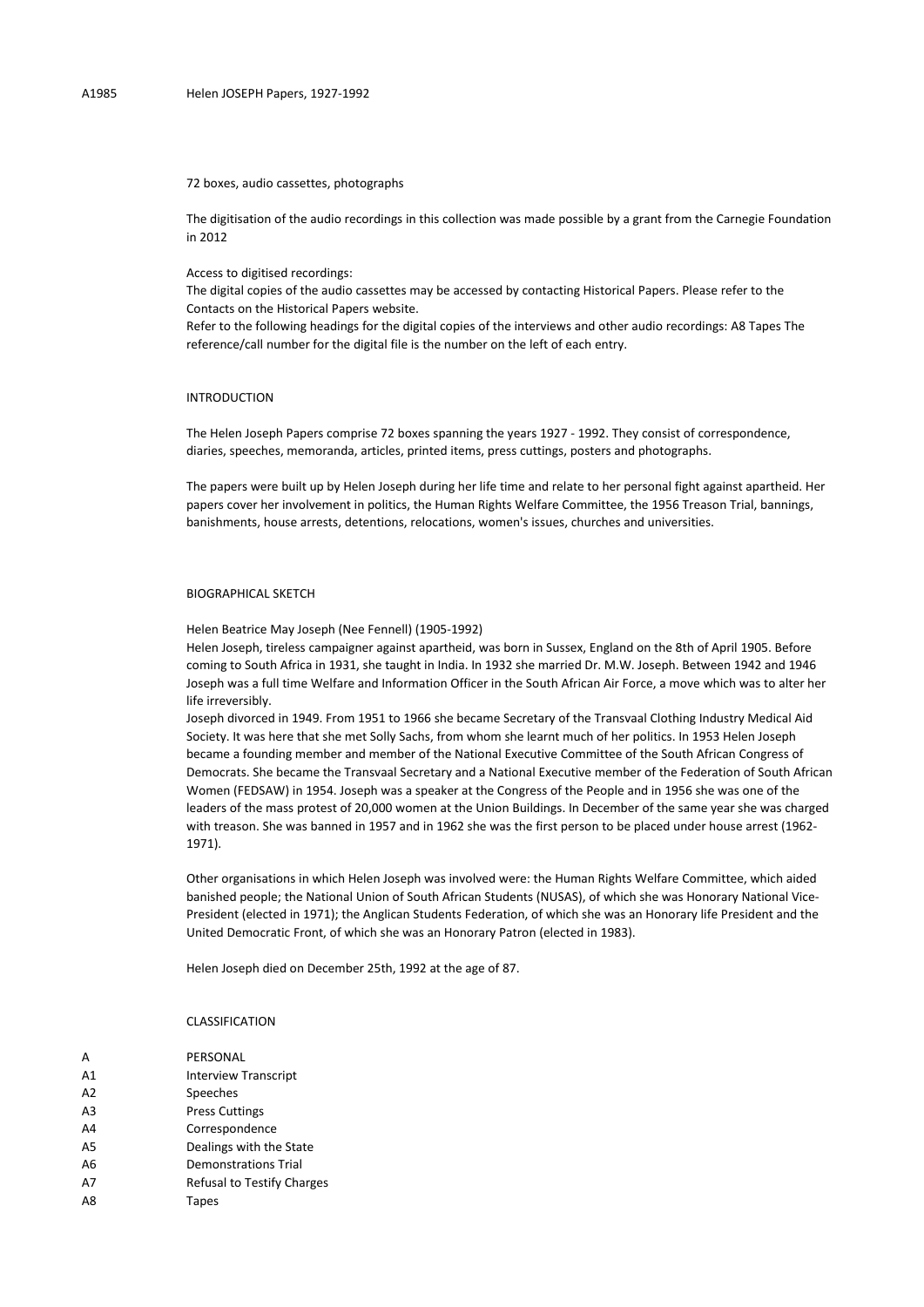72 boxes, audio cassettes, photographs

The digitisation of the audio recordings in this collection was made possible by a grant from the Carnegie Foundation in 2012

Access to digitised recordings:

The digital copies of the audio cassettes may be accessed by contacting Historical Papers. Please refer to the Contacts on the Historical Papers website.

Refer to the following headings for the digital copies of the interviews and other audio recordings: A8 Tapes The reference/call number for the digital file is the number on the left of each entry.

## INTRODUCTION

The Helen Joseph Papers comprise 72 boxes spanning the years 1927 - 1992. They consist of correspondence, diaries, speeches, memoranda, articles, printed items, press cuttings, posters and photographs.

The papers were built up by Helen Joseph during her life time and relate to her personal fight against apartheid. Her papers cover her involvement in politics, the Human Rights Welfare Committee, the 1956 Treason Trial, bannings, banishments, house arrests, detentions, relocations, women's issues, churches and universities.

## BIOGRAPHICAL SKETCH

Helen Beatrice May Joseph (Nee Fennell) (1905-1992)

Helen Joseph, tireless campaigner against apartheid, was born in Sussex, England on the 8th of April 1905. Before coming to South Africa in 1931, she taught in India. In 1932 she married Dr. M.W. Joseph. Between 1942 and 1946 Joseph was a full time Welfare and Information Officer in the South African Air Force, a move which was to alter her life irreversibly.

Joseph divorced in 1949. From 1951 to 1966 she became Secretary of the Transvaal Clothing Industry Medical Aid Society. It was here that she met Solly Sachs, from whom she learnt much of her politics. In 1953 Helen Joseph became a founding member and member of the National Executive Committee of the South African Congress of Democrats. She became the Transvaal Secretary and a National Executive member of the Federation of South African Women (FEDSAW) in 1954. Joseph was a speaker at the Congress of the People and in 1956 she was one of the leaders of the mass protest of 20,000 women at the Union Buildings. In December of the same year she was charged with treason. She was banned in 1957 and in 1962 she was the first person to be placed under house arrest (1962- 1971).

Other organisations in which Helen Joseph was involved were: the Human Rights Welfare Committee, which aided banished people; the National Union of South African Students (NUSAS), of which she was Honorary National Vice-President (elected in 1971); the Anglican Students Federation, of which she was an Honorary life President and the United Democratic Front, of which she was an Honorary Patron (elected in 1983).

Helen Joseph died on December 25th, 1992 at the age of 87.

## CLASSIFICATION

A PERSONAL A1 Interview Transcript A2 Speeches A3 Press Cuttings A4 Correspondence A5 Dealings with the State A6 Demonstrations Trial A7 Refusal to Testify Charges A8 Tapes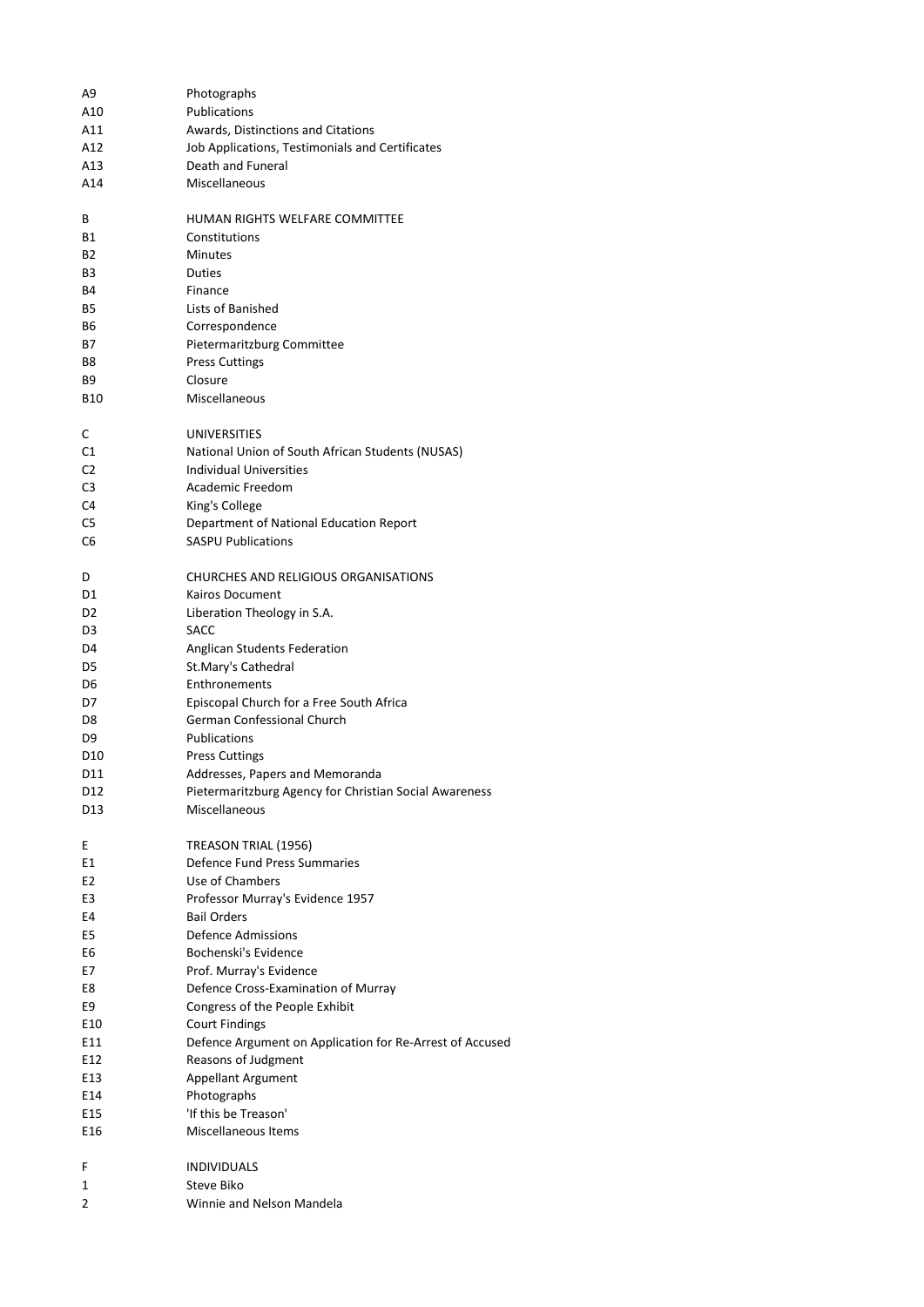| A9              | Photographs                                              |
|-----------------|----------------------------------------------------------|
| A10             | Publications                                             |
| A11             | Awards, Distinctions and Citations                       |
| A12             | Job Applications, Testimonials and Certificates          |
| A13             | Death and Funeral                                        |
| A14             | Miscellaneous                                            |
| В               | HUMAN RIGHTS WELFARE COMMITTEE                           |
| <b>B1</b>       | Constitutions                                            |
| <b>B2</b>       | <b>Minutes</b>                                           |
| B3              | Duties                                                   |
| <b>B4</b>       | Finance                                                  |
| <b>B5</b>       | Lists of Banished                                        |
| B6              | Correspondence                                           |
| <b>B7</b>       | Pietermaritzburg Committee                               |
| B8              | <b>Press Cuttings</b>                                    |
| <b>B9</b>       | Closure                                                  |
| B10             | Miscellaneous                                            |
|                 |                                                          |
| C<br>C1         | UNIVERSITIES                                             |
|                 | National Union of South African Students (NUSAS)         |
| C <sub>2</sub>  | <b>Individual Universities</b><br>Academic Freedom       |
| C3              |                                                          |
| C <sub>4</sub>  | King's College                                           |
| C5              | Department of National Education Report                  |
| C6              | <b>SASPU Publications</b>                                |
| D               | <b>CHURCHES AND RELIGIOUS ORGANISATIONS</b>              |
| D1              | Kairos Document                                          |
| D <sub>2</sub>  | Liberation Theology in S.A.                              |
| D3              | <b>SACC</b>                                              |
| D4              | Anglican Students Federation                             |
| D5              | St.Mary's Cathedral                                      |
| D6              | Enthronements                                            |
| D7              | Episcopal Church for a Free South Africa                 |
| D8              | German Confessional Church                               |
| D9              | Publications                                             |
| D <sub>10</sub> | <b>Press Cuttings</b>                                    |
| D11             | Addresses, Papers and Memoranda                          |
| D12             | Pietermaritzburg Agency for Christian Social Awareness   |
| D <sub>13</sub> | Miscellaneous                                            |
| Ε               | TREASON TRIAL (1956)                                     |
| E1              | Defence Fund Press Summaries                             |
| E <sub>2</sub>  | Use of Chambers                                          |
| E3              | Professor Murray's Evidence 1957                         |
| E4              | <b>Bail Orders</b>                                       |
| E5              | Defence Admissions                                       |
| E6              | Bochenski's Evidence                                     |
| E7              | Prof. Murray's Evidence                                  |
| E8              | Defence Cross-Examination of Murray                      |
| E9              | Congress of the People Exhibit                           |
| E10             | <b>Court Findings</b>                                    |
| E11             | Defence Argument on Application for Re-Arrest of Accused |
| E12             | Reasons of Judgment                                      |
| E13             | Appellant Argument                                       |
| E14             | Photographs                                              |
| E15             | 'If this be Treason'                                     |
| E16             | Miscellaneous Items                                      |
| F               | <b>INDIVIDUALS</b>                                       |
| 1               | Steve Biko                                               |
| 2               | Winnie and Nelson Mandela                                |
|                 |                                                          |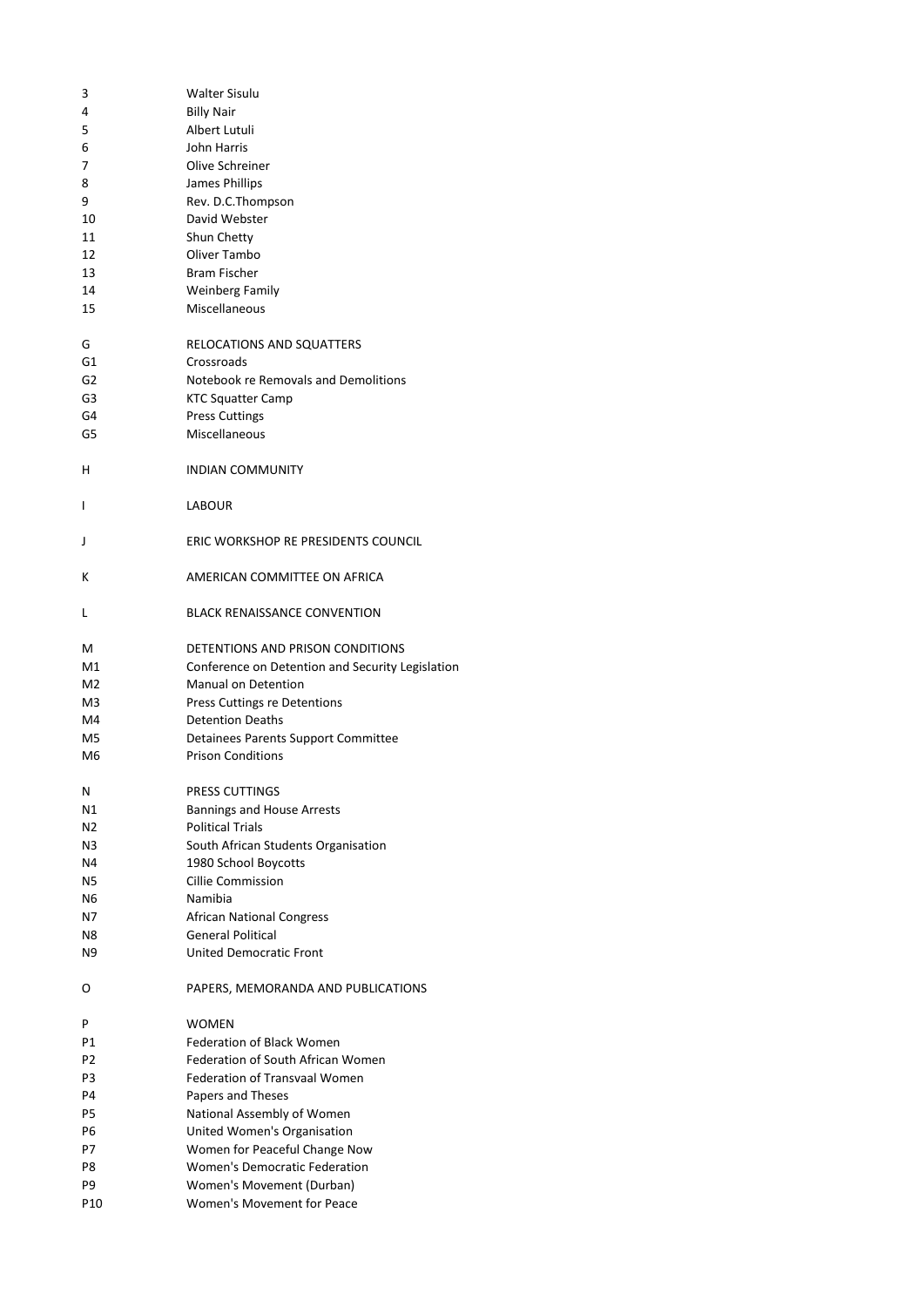| з              | <b>Walter Sisulu</b>                             |
|----------------|--------------------------------------------------|
| 4              | <b>Billy Nair</b>                                |
| 5              | Albert Lutuli                                    |
| 6              | John Harris                                      |
| 7              | Olive Schreiner                                  |
| 8              | James Phillips                                   |
| 9              | Rev. D.C.Thompson                                |
| 10             | David Webster                                    |
| 11             | Shun Chetty                                      |
| 12             | Oliver Tambo                                     |
| 13             | <b>Bram Fischer</b>                              |
| 14             | <b>Weinberg Family</b>                           |
| 15             | Miscellaneous                                    |
| G              | RELOCATIONS AND SQUATTERS                        |
| G1             | Crossroads                                       |
| G <sub>2</sub> | Notebook re Removals and Demolitions             |
| G3             | <b>KTC Squatter Camp</b>                         |
| G4             | <b>Press Cuttings</b>                            |
| G5             | Miscellaneous                                    |
| н              | <b>INDIAN COMMUNITY</b>                          |
| I              | <b>LABOUR</b>                                    |
|                |                                                  |
| J              | ERIC WORKSHOP RE PRESIDENTS COUNCIL              |
| Κ              | AMERICAN COMMITTEE ON AFRICA                     |
| L              | <b>BLACK RENAISSANCE CONVENTION</b>              |
| М              | DETENTIONS AND PRISON CONDITIONS                 |
| M1             | Conference on Detention and Security Legislation |
| M <sub>2</sub> | <b>Manual on Detention</b>                       |
| M3             | Press Cuttings re Detentions                     |
| M4             | <b>Detention Deaths</b>                          |
| M5             | Detainees Parents Support Committee              |
| M6             | <b>Prison Conditions</b>                         |
| Ν              | PRESS CUTTINGS                                   |
| Ν1             | <b>Bannings and House Arrests</b>                |
| N2             | <b>Political Trials</b>                          |
| N <sub>3</sub> | South African Students Organisation              |
| N4             | 1980 School Boycotts                             |
| N5             | <b>Cillie Commission</b>                         |
| Ν6             | Namibia                                          |
| Ν7             | <b>African National Congress</b>                 |
| N8             | <b>General Political</b>                         |
| N9             | <b>United Democratic Front</b>                   |
| O              | PAPERS, MEMORANDA AND PUBLICATIONS               |
| Ρ              | <b>WOMEN</b>                                     |
| Ρ1             | <b>Federation of Black Women</b>                 |
| P2             | Federation of South African Women                |
| P3             | <b>Federation of Transvaal Women</b>             |
| P4             | Papers and Theses                                |
| P5             | National Assembly of Women                       |
| Р6             | United Women's Organisation                      |
| Р7             | Women for Peaceful Change Now                    |
| P8             | Women's Democratic Federation                    |
| P9             | Women's Movement (Durban)                        |
| P10            | Women's Movement for Peace                       |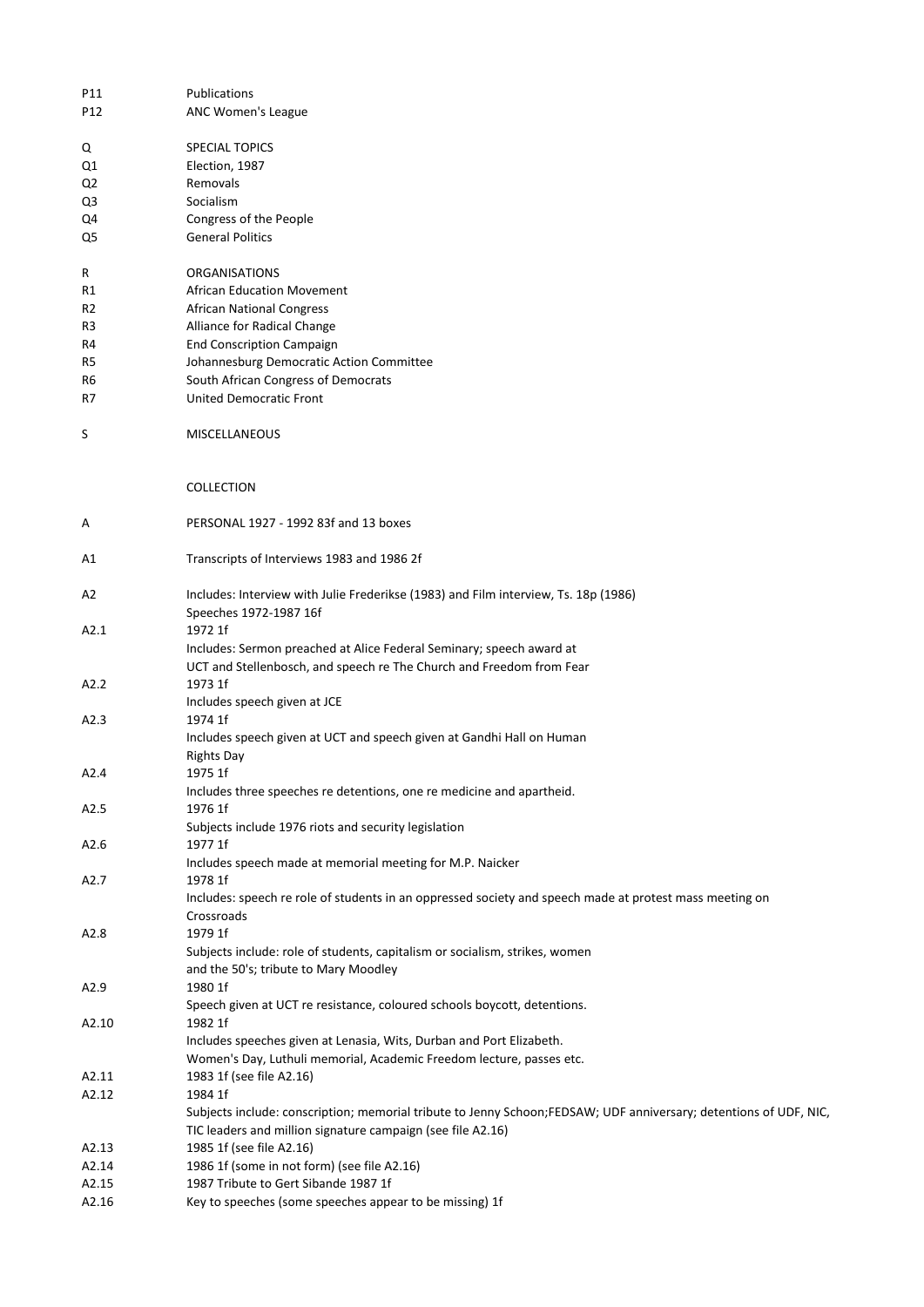| P11   | Publications                                                                                                      |
|-------|-------------------------------------------------------------------------------------------------------------------|
| P12   | ANC Women's League                                                                                                |
|       |                                                                                                                   |
| Q     | <b>SPECIAL TOPICS</b>                                                                                             |
| Q1    | Election, 1987                                                                                                    |
| Q2    | Removals                                                                                                          |
| Q3    | Socialism                                                                                                         |
| Q4    | Congress of the People                                                                                            |
| Q5    | <b>General Politics</b>                                                                                           |
|       |                                                                                                                   |
| R     | <b>ORGANISATIONS</b>                                                                                              |
| R1    | <b>African Education Movement</b>                                                                                 |
| R2    | <b>African National Congress</b>                                                                                  |
| R3    | Alliance for Radical Change                                                                                       |
| R4    | <b>End Conscription Campaign</b>                                                                                  |
| R5    | Johannesburg Democratic Action Committee                                                                          |
| R6    | South African Congress of Democrats                                                                               |
| R7    | <b>United Democratic Front</b>                                                                                    |
|       |                                                                                                                   |
| S     | <b>MISCELLANEOUS</b>                                                                                              |
|       |                                                                                                                   |
|       |                                                                                                                   |
|       | COLLECTION                                                                                                        |
|       |                                                                                                                   |
| Α     | PERSONAL 1927 - 1992 83f and 13 boxes                                                                             |
|       |                                                                                                                   |
| Α1    | Transcripts of Interviews 1983 and 1986 2f                                                                        |
|       |                                                                                                                   |
| A2    | Includes: Interview with Julie Frederikse (1983) and Film interview, Ts. 18p (1986)                               |
|       | Speeches 1972-1987 16f                                                                                            |
| A2.1  | 1972 1f                                                                                                           |
|       | Includes: Sermon preached at Alice Federal Seminary; speech award at                                              |
|       | UCT and Stellenbosch, and speech re The Church and Freedom from Fear                                              |
| A2.2  | 1973 1f                                                                                                           |
|       | Includes speech given at JCE                                                                                      |
| A2.3  | 1974 1f                                                                                                           |
|       | Includes speech given at UCT and speech given at Gandhi Hall on Human                                             |
|       | <b>Rights Day</b>                                                                                                 |
| A2.4  | 1975 1f                                                                                                           |
|       | Includes three speeches re detentions, one re medicine and apartheid.                                             |
| A2.5  | 1976 1f                                                                                                           |
|       | Subjects include 1976 riots and security legislation                                                              |
| A2.6  | 1977 1f                                                                                                           |
|       | Includes speech made at memorial meeting for M.P. Naicker                                                         |
| A2.7  | 1978 1f                                                                                                           |
|       | Includes: speech re role of students in an oppressed society and speech made at protest mass meeting on           |
|       | Crossroads                                                                                                        |
| A2.8  | 1979 1f                                                                                                           |
|       | Subjects include: role of students, capitalism or socialism, strikes, women                                       |
|       | and the 50's; tribute to Mary Moodley                                                                             |
| A2.9  | 1980 1f                                                                                                           |
|       | Speech given at UCT re resistance, coloured schools boycott, detentions.                                          |
| A2.10 | 1982 1f                                                                                                           |
|       | Includes speeches given at Lenasia, Wits, Durban and Port Elizabeth.                                              |
|       | Women's Day, Luthuli memorial, Academic Freedom lecture, passes etc.                                              |
| A2.11 | 1983 1f (see file A2.16)                                                                                          |
| A2.12 | 1984 1f                                                                                                           |
|       | Subjects include: conscription; memorial tribute to Jenny Schoon;FEDSAW; UDF anniversary; detentions of UDF, NIC, |
|       | TIC leaders and million signature campaign (see file A2.16)                                                       |
| A2.13 | 1985 1f (see file A2.16)                                                                                          |
| A2.14 | 1986 1f (some in not form) (see file A2.16)                                                                       |
| A2.15 | 1987 Tribute to Gert Sibande 1987 1f                                                                              |
| A2.16 | Key to speeches (some speeches appear to be missing) 1f                                                           |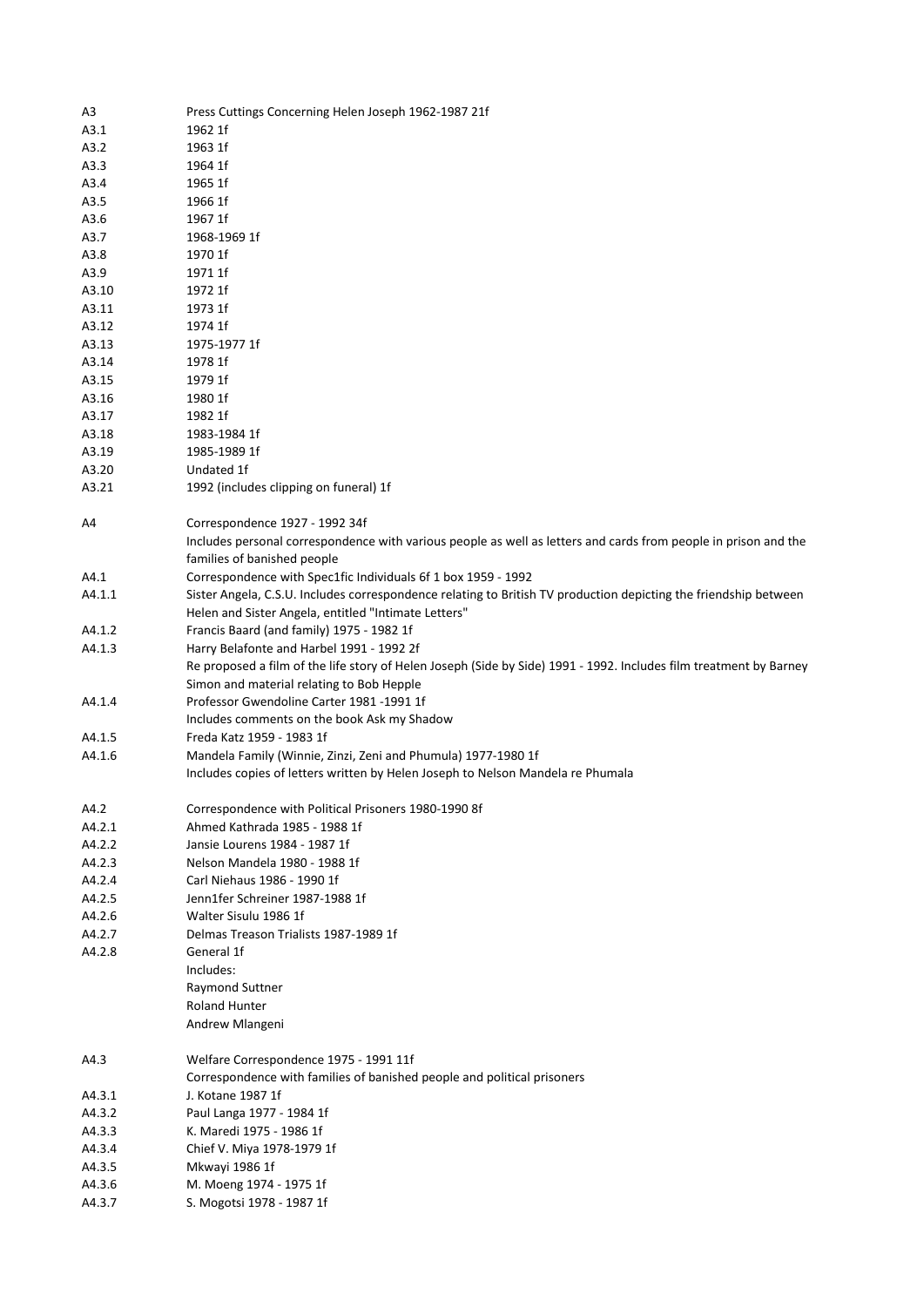| A3     | Press Cuttings Concerning Helen Joseph 1962-1987 21f                                                               |
|--------|--------------------------------------------------------------------------------------------------------------------|
| A3.1   | 1962 1f                                                                                                            |
| A3.2   | 1963 1f                                                                                                            |
| A3.3   | 1964 1f                                                                                                            |
| A3.4   | 1965 1f                                                                                                            |
| A3.5   | 1966 1f                                                                                                            |
| A3.6   | 1967 1f                                                                                                            |
| A3.7   | 1968-1969 1f                                                                                                       |
| A3.8   | 1970 1f                                                                                                            |
| A3.9   | 1971 1f                                                                                                            |
|        | 1972 1f                                                                                                            |
| A3.10  |                                                                                                                    |
| A3.11  | 1973 1f                                                                                                            |
| A3.12  | 1974 1f                                                                                                            |
| A3.13  | 1975-1977 1f                                                                                                       |
| A3.14  | 1978 1f                                                                                                            |
| A3.15  | 1979 1f                                                                                                            |
| A3.16  | 1980 1f                                                                                                            |
| A3.17  | 1982 1f                                                                                                            |
| A3.18  | 1983-1984 1f                                                                                                       |
| A3.19  | 1985-1989 1f                                                                                                       |
| A3.20  | Undated 1f                                                                                                         |
| A3.21  | 1992 (includes clipping on funeral) 1f                                                                             |
|        |                                                                                                                    |
| A4     | Correspondence 1927 - 1992 34f                                                                                     |
|        | Includes personal correspondence with various people as well as letters and cards from people in prison and the    |
|        | families of banished people                                                                                        |
| A4.1   | Correspondence with Spec1fic Individuals 6f 1 box 1959 - 1992                                                      |
| A4.1.1 | Sister Angela, C.S.U. Includes correspondence relating to British TV production depicting the friendship between   |
|        | Helen and Sister Angela, entitled "Intimate Letters"                                                               |
| A4.1.2 | Francis Baard (and family) 1975 - 1982 1f                                                                          |
|        |                                                                                                                    |
| A4.1.3 | Harry Belafonte and Harbel 1991 - 1992 2f                                                                          |
|        | Re proposed a film of the life story of Helen Joseph (Side by Side) 1991 - 1992. Includes film treatment by Barney |
|        | Simon and material relating to Bob Hepple                                                                          |
| A4.1.4 | Professor Gwendoline Carter 1981 -1991 1f                                                                          |
|        | Includes comments on the book Ask my Shadow                                                                        |
| A4.1.5 | Freda Katz 1959 - 1983 1f                                                                                          |
| A4.1.6 | Mandela Family (Winnie, Zinzi, Zeni and Phumula) 1977-1980 1f                                                      |
|        | Includes copies of letters written by Helen Joseph to Nelson Mandela re Phumala                                    |
|        |                                                                                                                    |
| A4.2   | Correspondence with Political Prisoners 1980-1990 8f                                                               |
| A4.2.1 | Ahmed Kathrada 1985 - 1988 1f                                                                                      |
| A4.2.2 | Jansie Lourens 1984 - 1987 1f                                                                                      |
| A4.2.3 | Nelson Mandela 1980 - 1988 1f                                                                                      |
| A4.2.4 | Carl Niehaus 1986 - 1990 1f                                                                                        |
| A4.2.5 | Jenn1fer Schreiner 1987-1988 1f                                                                                    |
| A4.2.6 | Walter Sisulu 1986 1f                                                                                              |
| A4.2.7 | Delmas Treason Trialists 1987-1989 1f                                                                              |
| A4.2.8 | General 1f                                                                                                         |
|        | Includes:                                                                                                          |
|        | Raymond Suttner                                                                                                    |
|        | <b>Roland Hunter</b>                                                                                               |
|        | Andrew Mlangeni                                                                                                    |
|        |                                                                                                                    |
|        |                                                                                                                    |
| A4.3   | Welfare Correspondence 1975 - 1991 11f                                                                             |
|        | Correspondence with families of banished people and political prisoners                                            |
| A4.3.1 | J. Kotane 1987 1f                                                                                                  |
| A4.3.2 | Paul Langa 1977 - 1984 1f                                                                                          |
| A4.3.3 | K. Maredi 1975 - 1986 1f                                                                                           |
| A4.3.4 | Chief V. Miya 1978-1979 1f                                                                                         |
| A4.3.5 | Mkwayi 1986 1f                                                                                                     |
| A4.3.6 | M. Moeng 1974 - 1975 1f                                                                                            |
| A4.3.7 | S. Mogotsi 1978 - 1987 1f                                                                                          |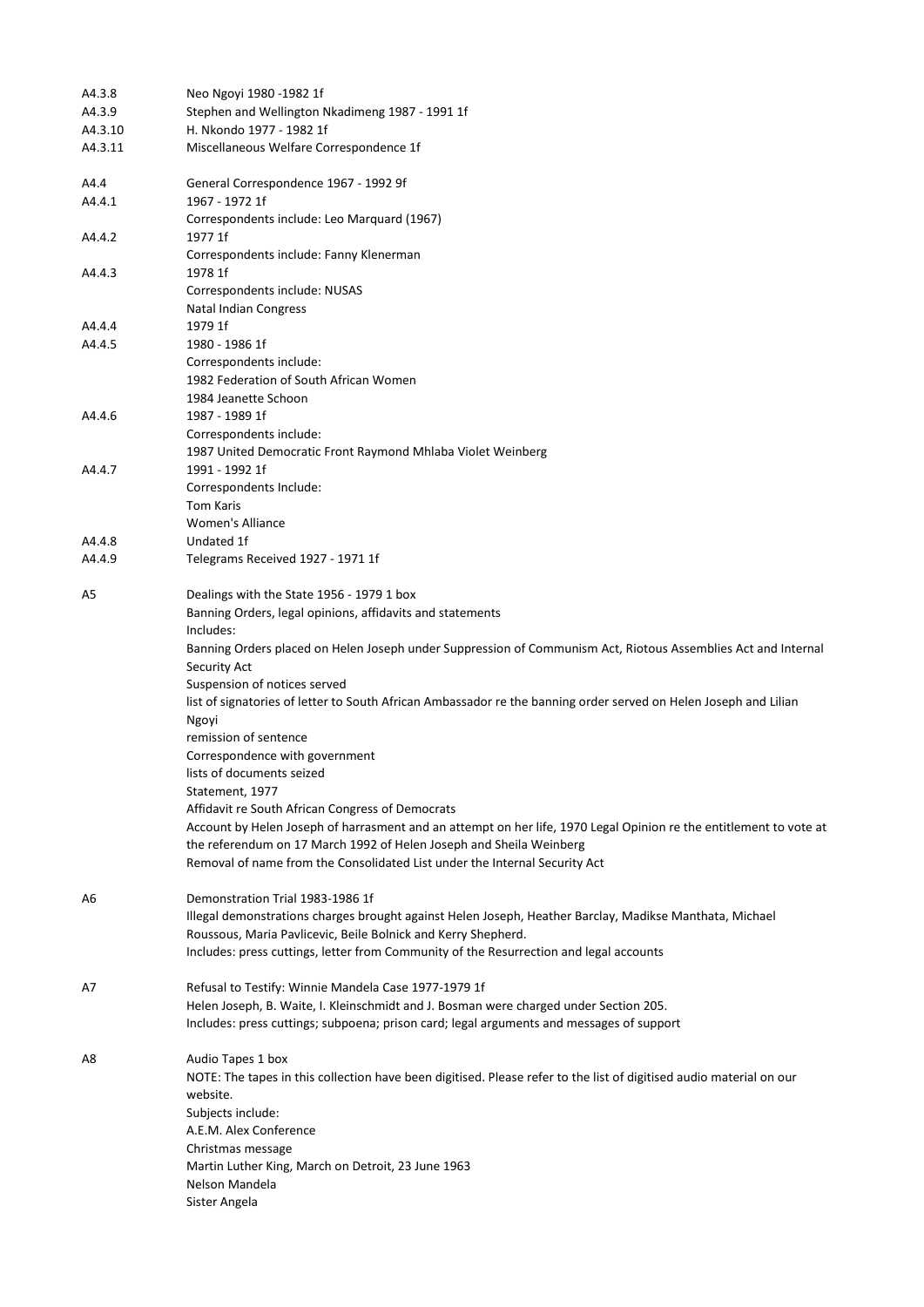| A4.3.8  | Neo Ngoyi 1980 -1982 1f                                                                                                   |
|---------|---------------------------------------------------------------------------------------------------------------------------|
| A4.3.9  | Stephen and Wellington Nkadimeng 1987 - 1991 1f                                                                           |
| A4.3.10 | H. Nkondo 1977 - 1982 1f                                                                                                  |
| A4.3.11 | Miscellaneous Welfare Correspondence 1f                                                                                   |
| A4.4    | General Correspondence 1967 - 1992 9f                                                                                     |
| A4.4.1  | 1967 - 1972 1f<br>Correspondents include: Leo Marquard (1967)                                                             |
| A4.4.2  | 1977 1f                                                                                                                   |
|         | Correspondents include: Fanny Klenerman                                                                                   |
| A4.4.3  | 1978 1f                                                                                                                   |
|         | Correspondents include: NUSAS                                                                                             |
|         | <b>Natal Indian Congress</b>                                                                                              |
| A4.4.4  | 1979 1f                                                                                                                   |
| A4.4.5  | 1980 - 1986 1f                                                                                                            |
|         | Correspondents include:                                                                                                   |
|         | 1982 Federation of South African Women                                                                                    |
|         | 1984 Jeanette Schoon                                                                                                      |
| A4.4.6  | 1987 - 1989 1f                                                                                                            |
|         | Correspondents include:                                                                                                   |
|         | 1987 United Democratic Front Raymond Mhlaba Violet Weinberg                                                               |
| A4.4.7  | 1991 - 1992 1f                                                                                                            |
|         | Correspondents Include:                                                                                                   |
|         | <b>Tom Karis</b>                                                                                                          |
|         | <b>Women's Alliance</b>                                                                                                   |
| A4.4.8  | Undated 1f                                                                                                                |
| A4.4.9  | Telegrams Received 1927 - 1971 1f                                                                                         |
| A5      | Dealings with the State 1956 - 1979 1 box                                                                                 |
|         | Banning Orders, legal opinions, affidavits and statements                                                                 |
|         | Includes:                                                                                                                 |
|         | Banning Orders placed on Helen Joseph under Suppression of Communism Act, Riotous Assemblies Act and Internal             |
|         | Security Act                                                                                                              |
|         | Suspension of notices served                                                                                              |
|         | list of signatories of letter to South African Ambassador re the banning order served on Helen Joseph and Lilian<br>Ngoyi |
|         | remission of sentence                                                                                                     |
|         | Correspondence with government                                                                                            |
|         | lists of documents seized                                                                                                 |
|         | Statement, 1977                                                                                                           |
|         | Affidavit re South African Congress of Democrats                                                                          |
|         | Account by Helen Joseph of harrasment and an attempt on her life, 1970 Legal Opinion re the entitlement to vote at        |
|         | the referendum on 17 March 1992 of Helen Joseph and Sheila Weinberg                                                       |
|         | Removal of name from the Consolidated List under the Internal Security Act                                                |
|         |                                                                                                                           |
| A6      | Demonstration Trial 1983-1986 1f                                                                                          |
|         | Illegal demonstrations charges brought against Helen Joseph, Heather Barclay, Madikse Manthata, Michael                   |
|         | Roussous, Maria Pavlicevic, Beile Bolnick and Kerry Shepherd.                                                             |
|         | Includes: press cuttings, letter from Community of the Resurrection and legal accounts                                    |
| A7      | Refusal to Testify: Winnie Mandela Case 1977-1979 1f                                                                      |
|         | Helen Joseph, B. Waite, I. Kleinschmidt and J. Bosman were charged under Section 205.                                     |
|         | Includes: press cuttings; subpoena; prison card; legal arguments and messages of support                                  |
| A8      | Audio Tapes 1 box                                                                                                         |
|         | NOTE: The tapes in this collection have been digitised. Please refer to the list of digitised audio material on our       |
|         | website.                                                                                                                  |
|         | Subjects include:                                                                                                         |
|         | A.E.M. Alex Conference                                                                                                    |
|         | Christmas message                                                                                                         |
|         | Martin Luther King, March on Detroit, 23 June 1963                                                                        |
|         | Nelson Mandela                                                                                                            |
|         | Sister Angela                                                                                                             |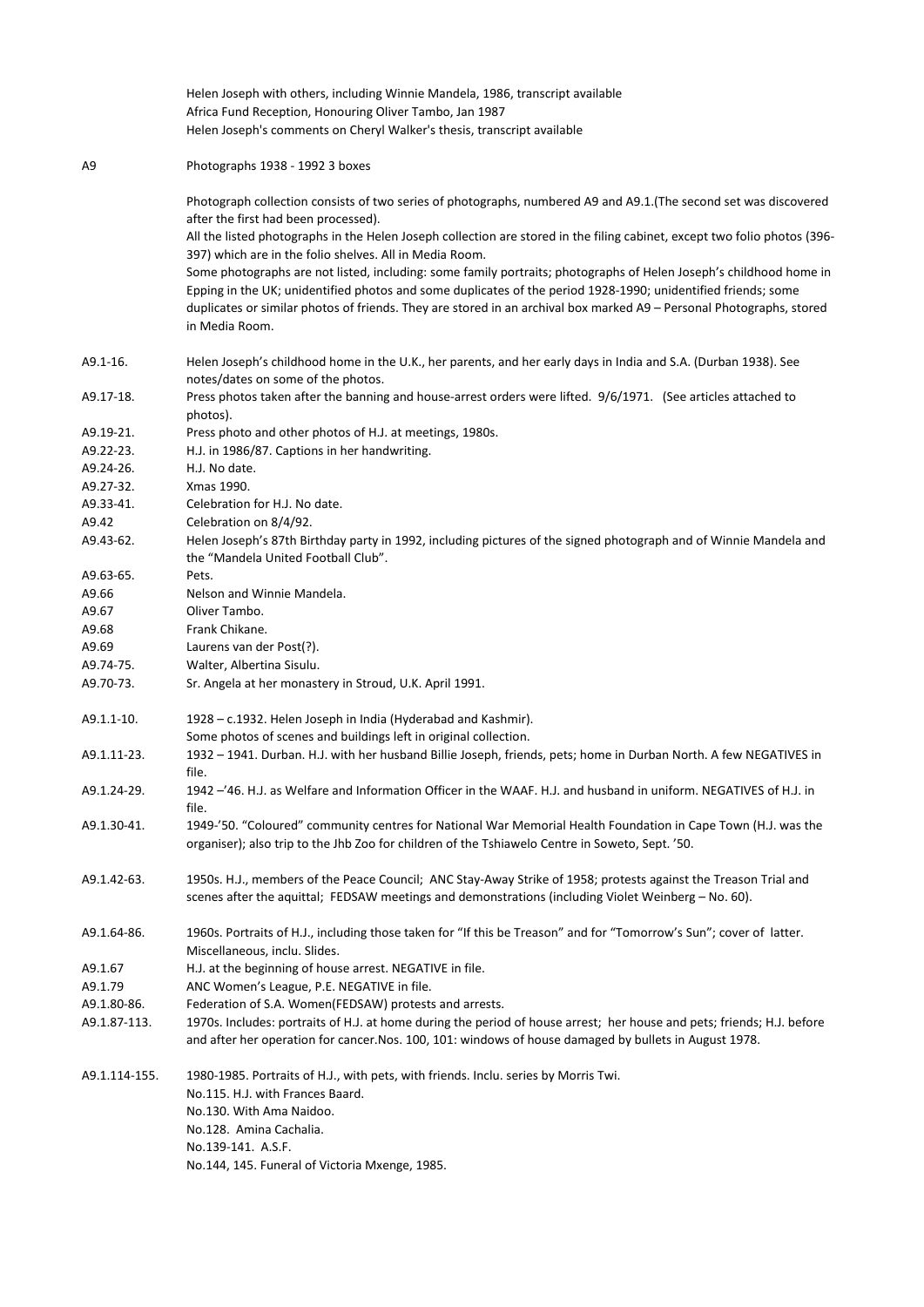|               | Helen Joseph with others, including Winnie Mandela, 1986, transcript available<br>Africa Fund Reception, Honouring Oliver Tambo, Jan 1987<br>Helen Joseph's comments on Cheryl Walker's thesis, transcript available                                                                                                                                                          |
|---------------|-------------------------------------------------------------------------------------------------------------------------------------------------------------------------------------------------------------------------------------------------------------------------------------------------------------------------------------------------------------------------------|
| A9            | Photographs 1938 - 1992 3 boxes                                                                                                                                                                                                                                                                                                                                               |
|               | Photograph collection consists of two series of photographs, numbered A9 and A9.1.(The second set was discovered<br>after the first had been processed).                                                                                                                                                                                                                      |
|               | All the listed photographs in the Helen Joseph collection are stored in the filing cabinet, except two folio photos (396-<br>397) which are in the folio shelves. All in Media Room.                                                                                                                                                                                          |
|               | Some photographs are not listed, including: some family portraits; photographs of Helen Joseph's childhood home in<br>Epping in the UK; unidentified photos and some duplicates of the period 1928-1990; unidentified friends; some<br>duplicates or similar photos of friends. They are stored in an archival box marked A9 - Personal Photographs, stored<br>in Media Room. |
| A9.1-16.      | Helen Joseph's childhood home in the U.K., her parents, and her early days in India and S.A. (Durban 1938). See<br>notes/dates on some of the photos.                                                                                                                                                                                                                         |
| A9.17-18.     | Press photos taken after the banning and house-arrest orders were lifted. 9/6/1971. (See articles attached to<br>photos).                                                                                                                                                                                                                                                     |
| A9.19-21.     | Press photo and other photos of H.J. at meetings, 1980s.                                                                                                                                                                                                                                                                                                                      |
| A9.22-23.     | H.J. in 1986/87. Captions in her handwriting.                                                                                                                                                                                                                                                                                                                                 |
| A9.24-26.     | H.J. No date.                                                                                                                                                                                                                                                                                                                                                                 |
| A9.27-32.     | Xmas 1990.                                                                                                                                                                                                                                                                                                                                                                    |
| A9.33-41.     | Celebration for H.J. No date.                                                                                                                                                                                                                                                                                                                                                 |
| A9.42         | Celebration on 8/4/92.                                                                                                                                                                                                                                                                                                                                                        |
| A9.43-62.     | Helen Joseph's 87th Birthday party in 1992, including pictures of the signed photograph and of Winnie Mandela and                                                                                                                                                                                                                                                             |
|               | the "Mandela United Football Club".                                                                                                                                                                                                                                                                                                                                           |
| A9.63-65.     | Pets.                                                                                                                                                                                                                                                                                                                                                                         |
| A9.66         | Nelson and Winnie Mandela.                                                                                                                                                                                                                                                                                                                                                    |
| A9.67         | Oliver Tambo.                                                                                                                                                                                                                                                                                                                                                                 |
| A9.68         | Frank Chikane.                                                                                                                                                                                                                                                                                                                                                                |
| A9.69         | Laurens van der Post(?).                                                                                                                                                                                                                                                                                                                                                      |
| A9.74-75.     | Walter, Albertina Sisulu.                                                                                                                                                                                                                                                                                                                                                     |
| A9.70-73.     | Sr. Angela at her monastery in Stroud, U.K. April 1991.                                                                                                                                                                                                                                                                                                                       |
| A9.1.1-10.    | 1928 – c.1932. Helen Joseph in India (Hyderabad and Kashmir).<br>Some photos of scenes and buildings left in original collection.                                                                                                                                                                                                                                             |
| A9.1.11-23.   | 1932 - 1941. Durban. H.J. with her husband Billie Joseph, friends, pets; home in Durban North. A few NEGATIVES in<br>file.                                                                                                                                                                                                                                                    |
| A9.1.24-29.   | 1942 -'46. H.J. as Welfare and Information Officer in the WAAF. H.J. and husband in uniform. NEGATIVES of H.J. in<br>file.                                                                                                                                                                                                                                                    |
| A9.1.30-41.   | 1949-'50. "Coloured" community centres for National War Memorial Health Foundation in Cape Town (H.J. was the<br>organiser); also trip to the Jhb Zoo for children of the Tshiawelo Centre in Soweto, Sept. '50.                                                                                                                                                              |
| A9.1.42-63.   | 1950s. H.J., members of the Peace Council; ANC Stay-Away Strike of 1958; protests against the Treason Trial and<br>scenes after the aquittal; FEDSAW meetings and demonstrations (including Violet Weinberg - No. 60).                                                                                                                                                        |
| A9.1.64-86.   | 1960s. Portraits of H.J., including those taken for "If this be Treason" and for "Tomorrow's Sun"; cover of latter.<br>Miscellaneous, inclu. Slides.                                                                                                                                                                                                                          |
| A9.1.67       | H.J. at the beginning of house arrest. NEGATIVE in file.                                                                                                                                                                                                                                                                                                                      |
| A9.1.79       | ANC Women's League, P.E. NEGATIVE in file.                                                                                                                                                                                                                                                                                                                                    |
| A9.1.80-86.   | Federation of S.A. Women(FEDSAW) protests and arrests.                                                                                                                                                                                                                                                                                                                        |
| A9.1.87-113.  | 1970s. Includes: portraits of H.J. at home during the period of house arrest; her house and pets; friends; H.J. before<br>and after her operation for cancer. Nos. 100, 101: windows of house damaged by bullets in August 1978.                                                                                                                                              |
| A9.1.114-155. | 1980-1985. Portraits of H.J., with pets, with friends. Inclu. series by Morris Twi.                                                                                                                                                                                                                                                                                           |
|               | No.115. H.J. with Frances Baard.                                                                                                                                                                                                                                                                                                                                              |
|               | No.130. With Ama Naidoo.                                                                                                                                                                                                                                                                                                                                                      |
|               | No.128. Amina Cachalia.                                                                                                                                                                                                                                                                                                                                                       |
|               | No.139-141. A.S.F.                                                                                                                                                                                                                                                                                                                                                            |
|               | No.144, 145. Funeral of Victoria Mxenge, 1985.                                                                                                                                                                                                                                                                                                                                |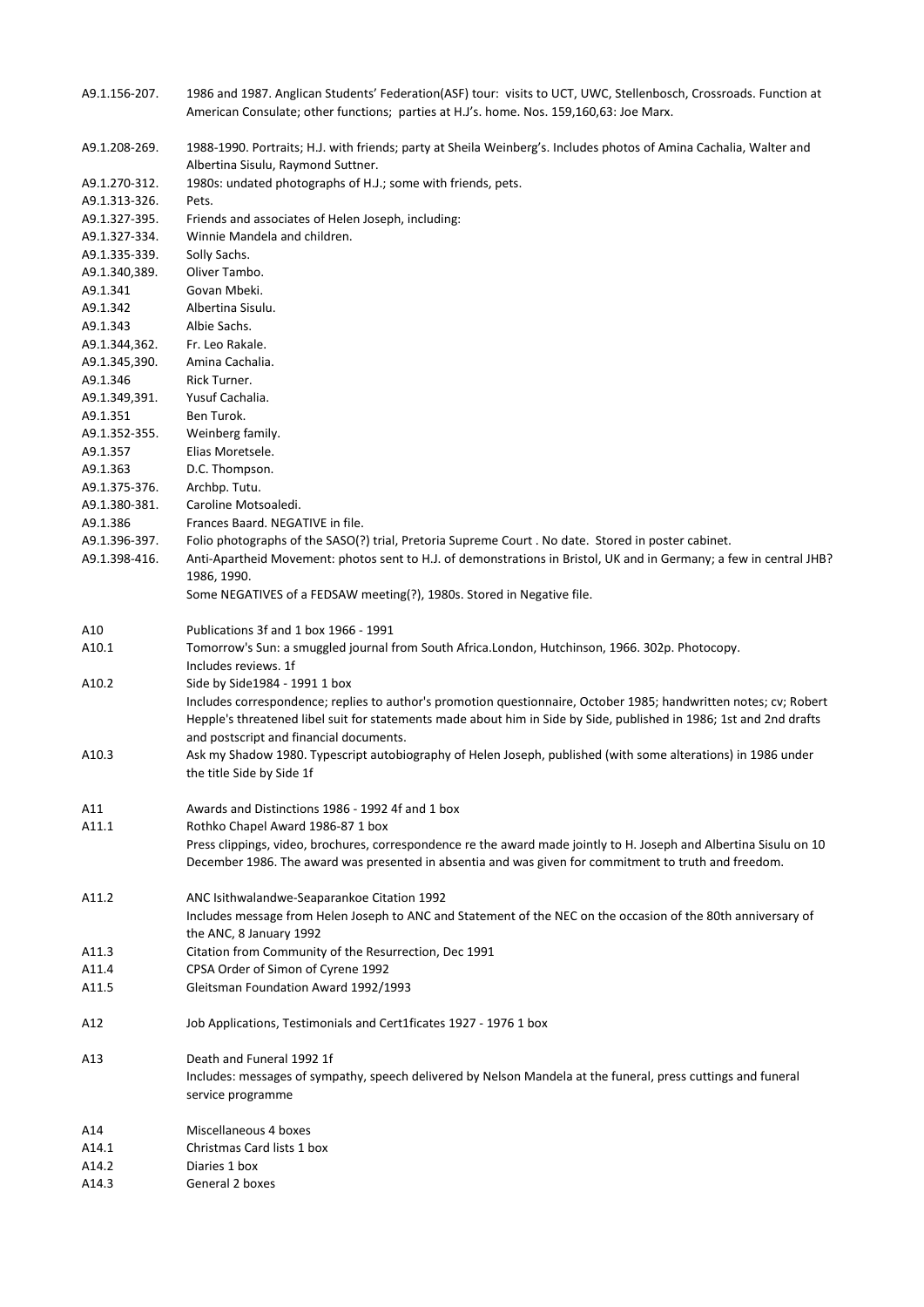| A9.1.156-207. | 1986 and 1987. Anglican Students' Federation(ASF) tour: visits to UCT, UWC, Stellenbosch, Crossroads. Function at<br>American Consulate; other functions; parties at H.J's. home. Nos. 159,160,63: Joe Marx.                             |
|---------------|------------------------------------------------------------------------------------------------------------------------------------------------------------------------------------------------------------------------------------------|
| A9.1.208-269. | 1988-1990. Portraits; H.J. with friends; party at Sheila Weinberg's. Includes photos of Amina Cachalia, Walter and                                                                                                                       |
| A9.1.270-312. | Albertina Sisulu, Raymond Suttner.<br>1980s: undated photographs of H.J.; some with friends, pets.                                                                                                                                       |
| A9.1.313-326. | Pets.                                                                                                                                                                                                                                    |
| A9.1.327-395. | Friends and associates of Helen Joseph, including:                                                                                                                                                                                       |
| A9.1.327-334. | Winnie Mandela and children.                                                                                                                                                                                                             |
| A9.1.335-339. | Solly Sachs.                                                                                                                                                                                                                             |
| A9.1.340,389. | Oliver Tambo.                                                                                                                                                                                                                            |
| A9.1.341      | Govan Mbeki.                                                                                                                                                                                                                             |
| A9.1.342      | Albertina Sisulu.                                                                                                                                                                                                                        |
| A9.1.343      | Albie Sachs.                                                                                                                                                                                                                             |
| A9.1.344,362. | Fr. Leo Rakale.                                                                                                                                                                                                                          |
| A9.1.345,390. | Amina Cachalia.                                                                                                                                                                                                                          |
| A9.1.346      | Rick Turner.                                                                                                                                                                                                                             |
| A9.1.349,391. | Yusuf Cachalia.                                                                                                                                                                                                                          |
| A9.1.351      | Ben Turok.                                                                                                                                                                                                                               |
| A9.1.352-355. | Weinberg family.                                                                                                                                                                                                                         |
| A9.1.357      | Elias Moretsele.                                                                                                                                                                                                                         |
| A9.1.363      | D.C. Thompson.                                                                                                                                                                                                                           |
| A9.1.375-376. | Archbp. Tutu.                                                                                                                                                                                                                            |
| A9.1.380-381. | Caroline Motsoaledi.                                                                                                                                                                                                                     |
| A9.1.386      | Frances Baard. NEGATIVE in file.                                                                                                                                                                                                         |
| A9.1.396-397. | Folio photographs of the SASO(?) trial, Pretoria Supreme Court . No date. Stored in poster cabinet.                                                                                                                                      |
| A9.1.398-416. | Anti-Apartheid Movement: photos sent to H.J. of demonstrations in Bristol, UK and in Germany; a few in central JHB?<br>1986, 1990.                                                                                                       |
|               | Some NEGATIVES of a FEDSAW meeting(?), 1980s. Stored in Negative file.                                                                                                                                                                   |
| A10           | Publications 3f and 1 box 1966 - 1991                                                                                                                                                                                                    |
| A10.1         | Tomorrow's Sun: a smuggled journal from South Africa.London, Hutchinson, 1966. 302p. Photocopy.<br>Includes reviews. 1f                                                                                                                  |
| A10.2         | Side by Side 1984 - 1991 1 box                                                                                                                                                                                                           |
|               | Includes correspondence; replies to author's promotion questionnaire, October 1985; handwritten notes; cv; Robert<br>Hepple's threatened libel suit for statements made about him in Side by Side, published in 1986; 1st and 2nd drafts |
| A10.3         | and postscript and financial documents.                                                                                                                                                                                                  |
|               | Ask my Shadow 1980. Typescript autobiography of Helen Joseph, published (with some alterations) in 1986 under<br>the title Side by Side 1f                                                                                               |
| A11           | Awards and Distinctions 1986 - 1992 4f and 1 box                                                                                                                                                                                         |
| A11.1         | Rothko Chapel Award 1986-87 1 box                                                                                                                                                                                                        |
|               | Press clippings, video, brochures, correspondence re the award made jointly to H. Joseph and Albertina Sisulu on 10<br>December 1986. The award was presented in absentia and was given for commitment to truth and freedom.             |
| A11.2         | ANC Isithwalandwe-Seaparankoe Citation 1992                                                                                                                                                                                              |
|               | Includes message from Helen Joseph to ANC and Statement of the NEC on the occasion of the 80th anniversary of                                                                                                                            |
|               | the ANC, 8 January 1992                                                                                                                                                                                                                  |
| A11.3         | Citation from Community of the Resurrection, Dec 1991                                                                                                                                                                                    |
| A11.4         | CPSA Order of Simon of Cyrene 1992                                                                                                                                                                                                       |
| A11.5         | Gleitsman Foundation Award 1992/1993                                                                                                                                                                                                     |
| A12           | Job Applications, Testimonials and Cert1ficates 1927 - 1976 1 box                                                                                                                                                                        |
| A13           | Death and Funeral 1992 1f                                                                                                                                                                                                                |
|               | Includes: messages of sympathy, speech delivered by Nelson Mandela at the funeral, press cuttings and funeral                                                                                                                            |
|               | service programme                                                                                                                                                                                                                        |
| A14           | Miscellaneous 4 boxes                                                                                                                                                                                                                    |
| A14.1         | Christmas Card lists 1 box                                                                                                                                                                                                               |
| A14.2         | Diaries 1 box                                                                                                                                                                                                                            |
| A14.3         | General 2 boxes                                                                                                                                                                                                                          |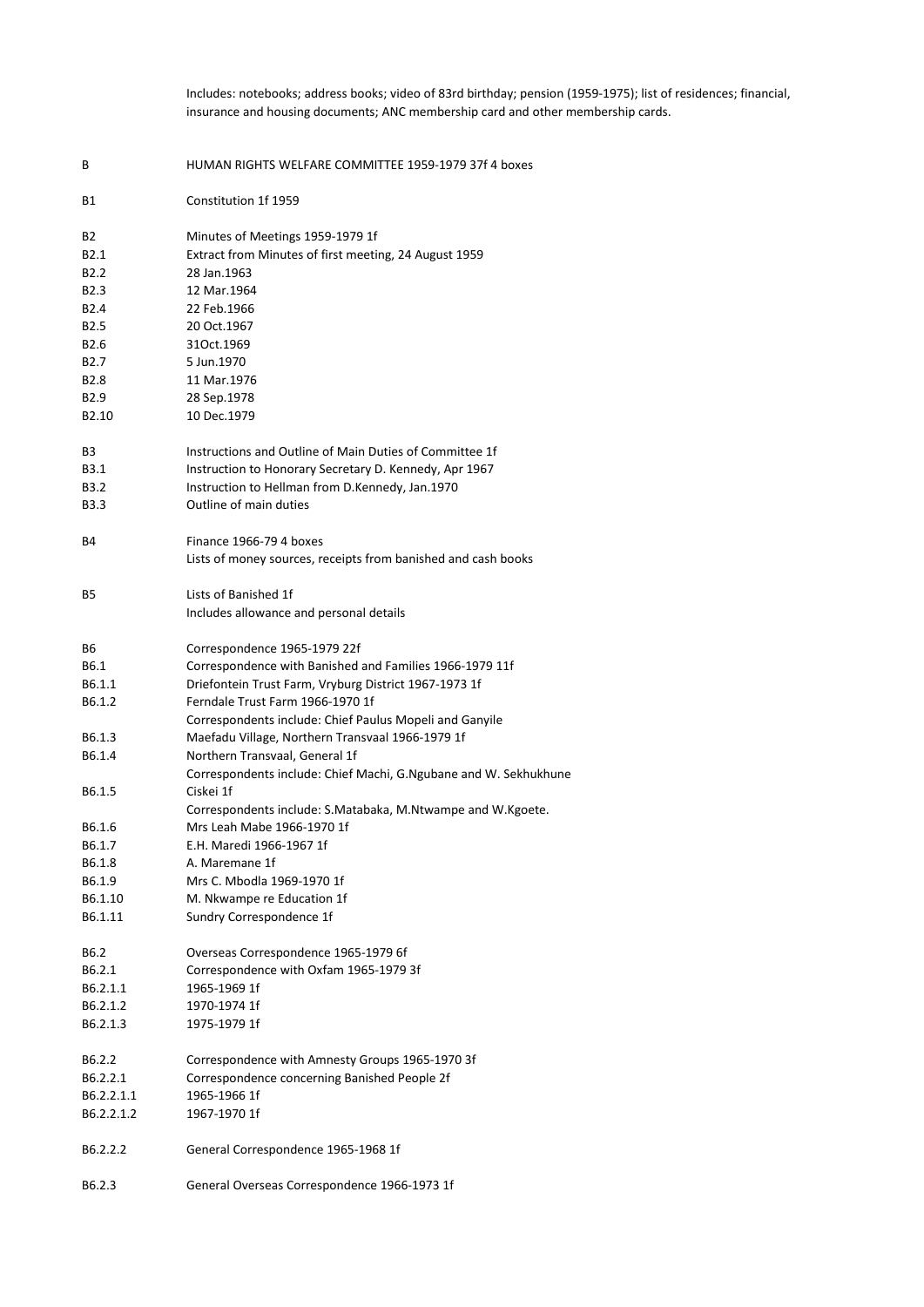Includes: notebooks; address books; video of 83rd birthday; pension (1959-1975); list of residences; financial, insurance and housing documents; ANC membership card and other membership cards.

| В                | HUMAN RIGHTS WELFARE COMMITTEE 1959-1979 37f 4 boxes             |
|------------------|------------------------------------------------------------------|
| Β1               | Constitution 1f 1959                                             |
| B2               | Minutes of Meetings 1959-1979 1f                                 |
| B <sub>2.1</sub> | Extract from Minutes of first meeting, 24 August 1959            |
| B <sub>2.2</sub> | 28 Jan.1963                                                      |
| B2.3             | 12 Mar.1964                                                      |
| B2.4             | 22 Feb.1966                                                      |
| B <sub>2.5</sub> | 20 Oct.1967                                                      |
| B2.6             | 310ct.1969                                                       |
| B2.7             | 5 Jun.1970                                                       |
| B2.8             | 11 Mar.1976                                                      |
| B2.9             | 28 Sep.1978                                                      |
| B2.10            | 10 Dec.1979                                                      |
| B3               | Instructions and Outline of Main Duties of Committee 1f          |
| B3.1             | Instruction to Honorary Secretary D. Kennedy, Apr 1967           |
| B3.2             | Instruction to Hellman from D.Kennedy, Jan.1970                  |
| B3.3             | Outline of main duties                                           |
| B4               | Finance 1966-79 4 boxes                                          |
|                  | Lists of money sources, receipts from banished and cash books    |
| B5               | Lists of Banished 1f                                             |
|                  | Includes allowance and personal details                          |
| В6               | Correspondence 1965-1979 22f                                     |
| B6.1             | Correspondence with Banished and Families 1966-1979 11f          |
| B6.1.1           | Driefontein Trust Farm, Vryburg District 1967-1973 1f            |
| B6.1.2           | Ferndale Trust Farm 1966-1970 1f                                 |
|                  | Correspondents include: Chief Paulus Mopeli and Ganyile          |
| B6.1.3           | Maefadu Village, Northern Transvaal 1966-1979 1f                 |
| B6.1.4           | Northern Transvaal, General 1f                                   |
|                  | Correspondents include: Chief Machi, G.Ngubane and W. Sekhukhune |
| B6.1.5           | Ciskei 1f                                                        |
|                  | Correspondents include: S.Matabaka, M.Ntwampe and W.Kgoete.      |
| B6.1.6           | Mrs Leah Mabe 1966-1970 1f                                       |
| B6.1.7           | E.H. Maredi 1966-1967 1f                                         |
| B6.1.8           | A. Maremane 1f                                                   |
| B6.1.9           | Mrs C. Mbodla 1969-1970 1f                                       |
| B6.1.10          | M. Nkwampe re Education 1f                                       |
| B6.1.11          | Sundry Correspondence 1f                                         |
| B6.2             | Overseas Correspondence 1965-1979 6f                             |
| B6.2.1           | Correspondence with Oxfam 1965-1979 3f                           |
| B6.2.1.1         | 1965-1969 1f                                                     |
| B6.2.1.2         | 1970-1974 1f                                                     |
| B6.2.1.3         | 1975-1979 1f                                                     |
| B6.2.2           | Correspondence with Amnesty Groups 1965-1970 3f                  |
| B6.2.2.1         | Correspondence concerning Banished People 2f                     |
| B6.2.2.1.1       | 1965-1966 1f                                                     |
| B6.2.2.1.2       | 1967-1970 1f                                                     |
| B6.2.2.2         | General Correspondence 1965-1968 1f                              |
| B6.2.3           | General Overseas Correspondence 1966-1973 1f                     |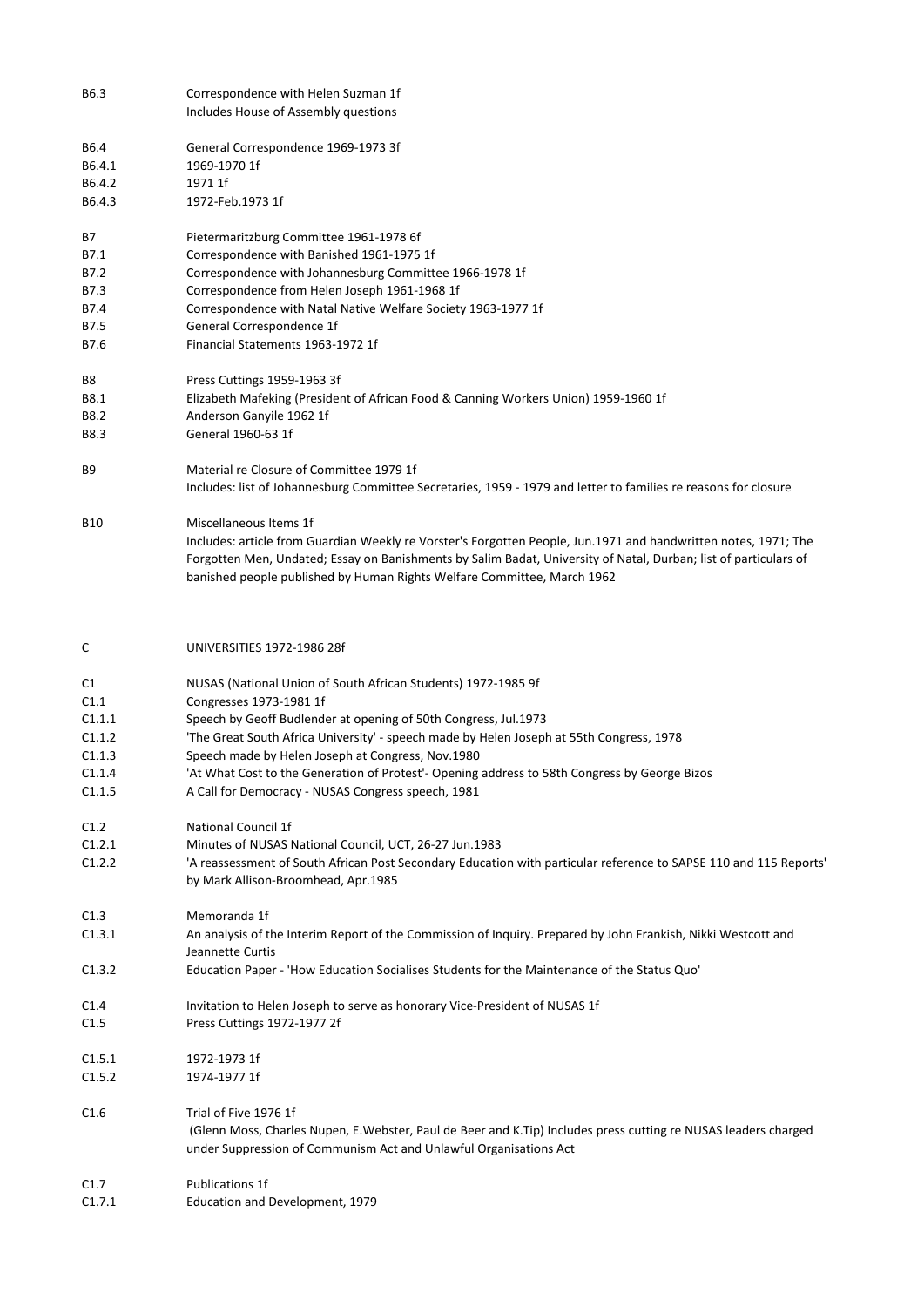| B6.3                     | Correspondence with Helen Suzman 1f<br>Includes House of Assembly questions                                                                                                                 |
|--------------------------|---------------------------------------------------------------------------------------------------------------------------------------------------------------------------------------------|
| B6.4<br>B6.4.1<br>B6.4.2 | General Correspondence 1969-1973 3f<br>1969-1970 1f<br>1971 1f                                                                                                                              |
| B6.4.3                   | 1972-Feb.1973 1f                                                                                                                                                                            |
| В7                       | Pietermaritzburg Committee 1961-1978 6f                                                                                                                                                     |
| B7.1<br>B7.2             | Correspondence with Banished 1961-1975 1f<br>Correspondence with Johannesburg Committee 1966-1978 1f                                                                                        |
| B7.3                     | Correspondence from Helen Joseph 1961-1968 1f                                                                                                                                               |
| B7.4                     | Correspondence with Natal Native Welfare Society 1963-1977 1f                                                                                                                               |
| B7.5                     | General Correspondence 1f                                                                                                                                                                   |
| B7.6                     | Financial Statements 1963-1972 1f                                                                                                                                                           |
| В8                       | Press Cuttings 1959-1963 3f                                                                                                                                                                 |
| B8.1                     | Elizabeth Mafeking (President of African Food & Canning Workers Union) 1959-1960 1f                                                                                                         |
| B8.2                     | Anderson Ganyile 1962 1f                                                                                                                                                                    |
| B8.3                     | General 1960-63 1f                                                                                                                                                                          |
| B9                       | Material re Closure of Committee 1979 1f<br>Includes: list of Johannesburg Committee Secretaries, 1959 - 1979 and letter to families re reasons for closure                                 |
|                          |                                                                                                                                                                                             |
| B10                      | Miscellaneous Items 1f                                                                                                                                                                      |
|                          | Includes: article from Guardian Weekly re Vorster's Forgotten People, Jun.1971 and handwritten notes, 1971; The                                                                             |
|                          | Forgotten Men, Undated; Essay on Banishments by Salim Badat, University of Natal, Durban; list of particulars of<br>banished people published by Human Rights Welfare Committee, March 1962 |
| C                        | UNIVERSITIES 1972-1986 28f                                                                                                                                                                  |
| C1                       | NUSAS (National Union of South African Students) 1972-1985 9f                                                                                                                               |
| C1.1                     | Congresses 1973-1981 1f                                                                                                                                                                     |
| C1.1.1                   | Speech by Geoff Budlender at opening of 50th Congress, Jul.1973                                                                                                                             |
| C1.1.2                   | 'The Great South Africa University' - speech made by Helen Joseph at 55th Congress, 1978                                                                                                    |
| C1.1.3                   | Speech made by Helen Joseph at Congress, Nov.1980                                                                                                                                           |
| C1.1.4<br>C1.1.5         | 'At What Cost to the Generation of Protest'- Opening address to 58th Congress by George Bizos<br>A Call for Democracy - NUSAS Congress speech, 1981                                         |
|                          |                                                                                                                                                                                             |
| C1.2                     | National Council 1f                                                                                                                                                                         |
| C1.2.1                   | Minutes of NUSAS National Council, UCT, 26-27 Jun.1983                                                                                                                                      |
| C1.2.2                   | 'A reassessment of South African Post Secondary Education with particular reference to SAPSE 110 and 115 Reports'<br>by Mark Allison-Broomhead, Apr.1985                                    |
| C1.3                     | Memoranda 1f                                                                                                                                                                                |
| C1.3.1                   | An analysis of the Interim Report of the Commission of Inquiry. Prepared by John Frankish, Nikki Westcott and                                                                               |
| C1.3.2                   | Jeannette Curtis<br>Education Paper - 'How Education Socialises Students for the Maintenance of the Status Quo'                                                                             |
| C <sub>1.4</sub>         | Invitation to Helen Joseph to serve as honorary Vice-President of NUSAS 1f                                                                                                                  |
| C1.5                     | Press Cuttings 1972-1977 2f                                                                                                                                                                 |
| C1.5.1                   | 1972-1973 1f                                                                                                                                                                                |
| C1.5.2                   | 1974-1977 1f                                                                                                                                                                                |
| C1.6                     | Trial of Five 1976 1f                                                                                                                                                                       |
|                          | (Glenn Moss, Charles Nupen, E.Webster, Paul de Beer and K.Tip) Includes press cutting re NUSAS leaders charged<br>under Suppression of Communism Act and Unlawful Organisations Act         |
| C1.7                     | <b>Publications 1f</b>                                                                                                                                                                      |
| C1.7.1                   | Education and Development, 1979                                                                                                                                                             |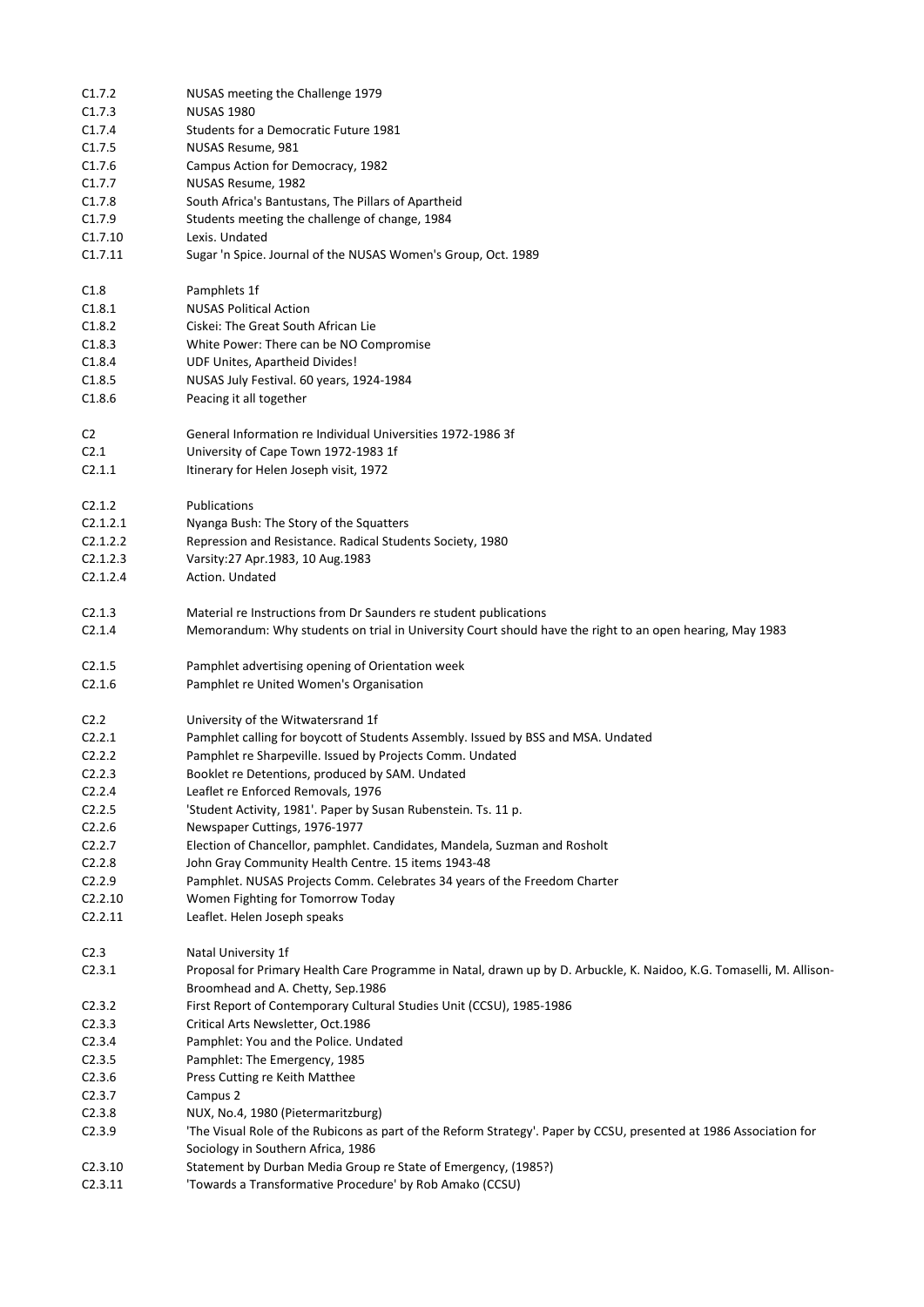| C1.7.2           | NUSAS meeting the Challenge 1979                                                                                     |
|------------------|----------------------------------------------------------------------------------------------------------------------|
| C1.7.3           | <b>NUSAS 1980</b>                                                                                                    |
| C1.7.4           | Students for a Democratic Future 1981                                                                                |
| C1.7.5           | NUSAS Resume, 981                                                                                                    |
| C1.7.6           | Campus Action for Democracy, 1982                                                                                    |
|                  |                                                                                                                      |
| C1.7.7           | NUSAS Resume, 1982                                                                                                   |
| C1.7.8           | South Africa's Bantustans, The Pillars of Apartheid                                                                  |
| C1.7.9           | Students meeting the challenge of change, 1984                                                                       |
| C1.7.10          | Lexis. Undated                                                                                                       |
| C1.7.11          | Sugar 'n Spice. Journal of the NUSAS Women's Group, Oct. 1989                                                        |
| C1.8             | Pamphlets 1f                                                                                                         |
| C1.8.1           | <b>NUSAS Political Action</b>                                                                                        |
| C1.8.2           | Ciskei: The Great South African Lie                                                                                  |
| C1.8.3           | White Power: There can be NO Compromise                                                                              |
| C1.8.4           | UDF Unites, Apartheid Divides!                                                                                       |
| C1.8.5           | NUSAS July Festival. 60 years, 1924-1984                                                                             |
| C1.8.6           | Peacing it all together                                                                                              |
| C <sub>2</sub>   | General Information re Individual Universities 1972-1986 3f                                                          |
| C <sub>2.1</sub> | University of Cape Town 1972-1983 1f                                                                                 |
| C2.1.1           | Itinerary for Helen Joseph visit, 1972                                                                               |
|                  |                                                                                                                      |
| C2.1.2           | Publications                                                                                                         |
| C2.1.2.1         | Nyanga Bush: The Story of the Squatters                                                                              |
| C2.1.2.2         | Repression and Resistance. Radical Students Society, 1980                                                            |
| C2.1.2.3         | Varsity:27 Apr.1983, 10 Aug.1983                                                                                     |
| C2.1.2.4         | Action. Undated                                                                                                      |
| C2.1.3           | Material re Instructions from Dr Saunders re student publications                                                    |
| C2.1.4           | Memorandum: Why students on trial in University Court should have the right to an open hearing, May 1983             |
| C2.1.5           | Pamphlet advertising opening of Orientation week                                                                     |
| C2.1.6           | Pamphlet re United Women's Organisation                                                                              |
|                  |                                                                                                                      |
| C <sub>2.2</sub> | University of the Witwatersrand 1f                                                                                   |
| C2.2.1           | Pamphlet calling for boycott of Students Assembly. Issued by BSS and MSA. Undated                                    |
| C2.2.2           | Pamphlet re Sharpeville. Issued by Projects Comm. Undated                                                            |
| C2.2.3           |                                                                                                                      |
|                  | Booklet re Detentions, produced by SAM. Undated                                                                      |
| C2.2.4           | Leaflet re Enforced Removals, 1976                                                                                   |
| C2.2.5           | 'Student Activity, 1981'. Paper by Susan Rubenstein. Ts. 11 p.                                                       |
| C2.2.6           | Newspaper Cuttings, 1976-1977                                                                                        |
| C2.2.7           | Election of Chancellor, pamphlet. Candidates, Mandela, Suzman and Rosholt                                            |
| C2.2.8           | John Gray Community Health Centre. 15 items 1943-48                                                                  |
| C2.2.9           | Pamphlet. NUSAS Projects Comm. Celebrates 34 years of the Freedom Charter                                            |
| C2.2.10          | Women Fighting for Tomorrow Today                                                                                    |
| C2.2.11          | Leaflet. Helen Joseph speaks                                                                                         |
| C <sub>2.3</sub> | Natal University 1f                                                                                                  |
| C2.3.1           | Proposal for Primary Health Care Programme in Natal, drawn up by D. Arbuckle, K. Naidoo, K.G. Tomaselli, M. Allison- |
|                  | Broomhead and A. Chetty, Sep.1986                                                                                    |
| C2.3.2           | First Report of Contemporary Cultural Studies Unit (CCSU), 1985-1986                                                 |
| C2.3.3           | Critical Arts Newsletter, Oct.1986                                                                                   |
| C2.3.4           | Pamphlet: You and the Police. Undated                                                                                |
| C2.3.5           | Pamphlet: The Emergency, 1985                                                                                        |
| C2.3.6           | Press Cutting re Keith Matthee                                                                                       |
| C2.3.7           | Campus 2                                                                                                             |
| C2.3.8           | NUX, No.4, 1980 (Pietermaritzburg)                                                                                   |
| C2.3.9           | 'The Visual Role of the Rubicons as part of the Reform Strategy'. Paper by CCSU, presented at 1986 Association for   |
|                  | Sociology in Southern Africa, 1986                                                                                   |
| C2.3.10          | Statement by Durban Media Group re State of Emergency, (1985?)                                                       |
| C2.3.11          | 'Towards a Transformative Procedure' by Rob Amako (CCSU)                                                             |
|                  |                                                                                                                      |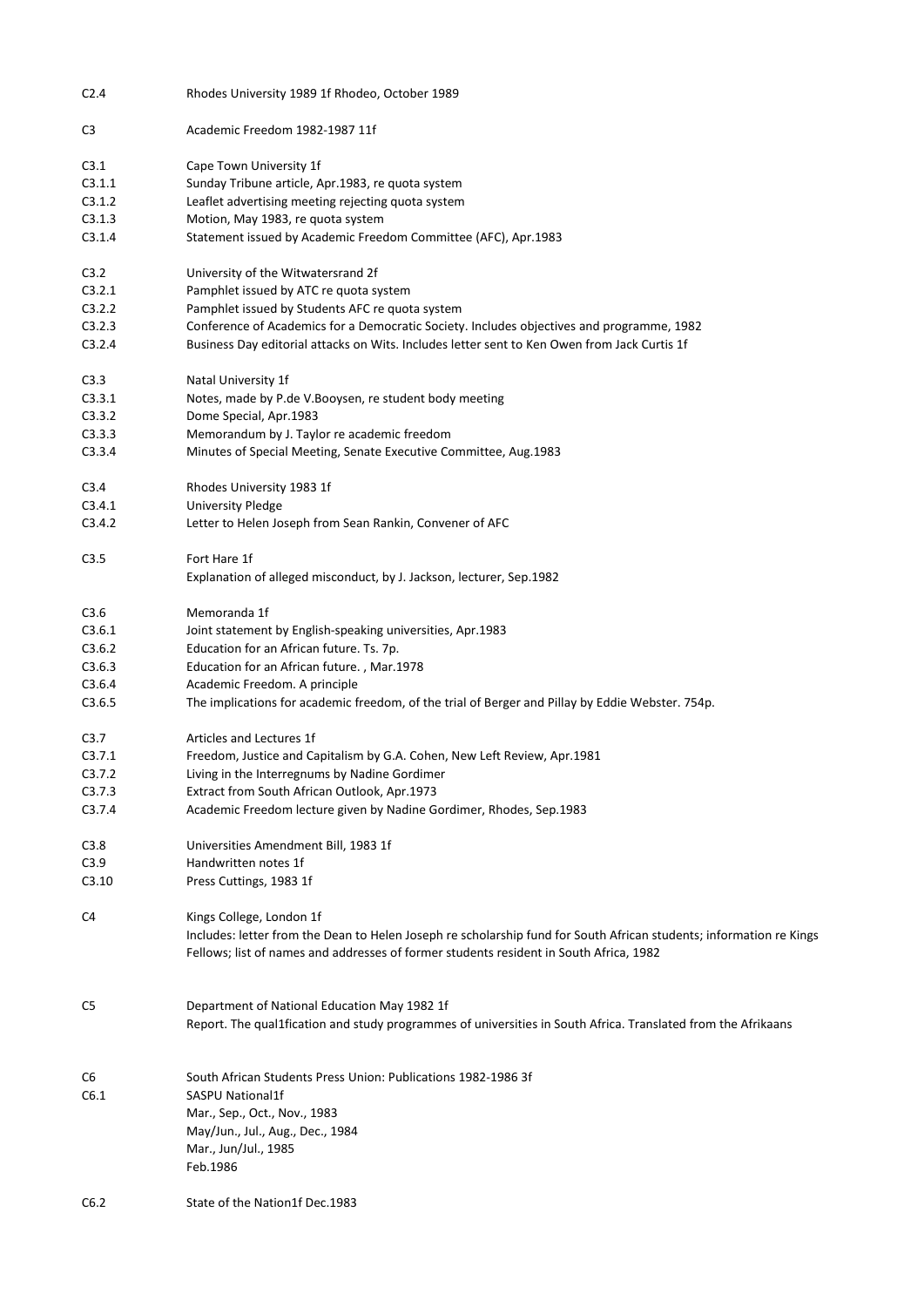| C <sub>2.4</sub> | Rhodes University 1989 1f Rhodeo, October 1989                                                                                                                                            |
|------------------|-------------------------------------------------------------------------------------------------------------------------------------------------------------------------------------------|
| C <sub>3</sub>   | Academic Freedom 1982-1987 11f                                                                                                                                                            |
| C3.1             | Cape Town University 1f                                                                                                                                                                   |
| C3.1.1           | Sunday Tribune article, Apr.1983, re quota system                                                                                                                                         |
| C3.1.2           | Leaflet advertising meeting rejecting quota system                                                                                                                                        |
| C3.1.3           | Motion, May 1983, re quota system                                                                                                                                                         |
| C3.1.4           | Statement issued by Academic Freedom Committee (AFC), Apr.1983                                                                                                                            |
| C3.2             | University of the Witwatersrand 2f                                                                                                                                                        |
| C3.2.1           | Pamphlet issued by ATC re quota system                                                                                                                                                    |
|                  |                                                                                                                                                                                           |
| C3.2.2           | Pamphlet issued by Students AFC re quota system                                                                                                                                           |
| C3.2.3<br>C3.2.4 | Conference of Academics for a Democratic Society. Includes objectives and programme, 1982<br>Business Day editorial attacks on Wits. Includes letter sent to Ken Owen from Jack Curtis 1f |
| C3.3             | Natal University 1f                                                                                                                                                                       |
| C3.3.1           | Notes, made by P.de V.Booysen, re student body meeting                                                                                                                                    |
| C3.3.2           | Dome Special, Apr.1983                                                                                                                                                                    |
| C3.3.3           | Memorandum by J. Taylor re academic freedom                                                                                                                                               |
| C3.3.4           | Minutes of Special Meeting, Senate Executive Committee, Aug.1983                                                                                                                          |
|                  |                                                                                                                                                                                           |
| C3.4             | Rhodes University 1983 1f                                                                                                                                                                 |
| C3.4.1           | <b>University Pledge</b>                                                                                                                                                                  |
| C3.4.2           | Letter to Helen Joseph from Sean Rankin, Convener of AFC                                                                                                                                  |
| C3.5             | Fort Hare 1f                                                                                                                                                                              |
|                  | Explanation of alleged misconduct, by J. Jackson, lecturer, Sep.1982                                                                                                                      |
| C3.6             | Memoranda 1f                                                                                                                                                                              |
| C3.6.1           | Joint statement by English-speaking universities, Apr.1983                                                                                                                                |
| C3.6.2           | Education for an African future. Ts. 7p.                                                                                                                                                  |
| C3.6.3           | Education for an African future., Mar.1978                                                                                                                                                |
| C3.6.4           | Academic Freedom. A principle                                                                                                                                                             |
| C3.6.5           | The implications for academic freedom, of the trial of Berger and Pillay by Eddie Webster. 754p.                                                                                          |
| C <sub>3.7</sub> | Articles and Lectures 1f                                                                                                                                                                  |
| C3.7.1           | Freedom, Justice and Capitalism by G.A. Cohen, New Left Review, Apr.1981                                                                                                                  |
| C3.7.2           | Living in the Interregnums by Nadine Gordimer                                                                                                                                             |
| C3.7.3           | Extract from South African Outlook, Apr.1973                                                                                                                                              |
| C3.7.4           | Academic Freedom lecture given by Nadine Gordimer, Rhodes, Sep.1983                                                                                                                       |
| C3.8             | Universities Amendment Bill, 1983 1f                                                                                                                                                      |
| C3.9             | Handwritten notes 1f                                                                                                                                                                      |
| C3.10            | Press Cuttings, 1983 1f                                                                                                                                                                   |
| C4               | Kings College, London 1f                                                                                                                                                                  |
|                  | Includes: letter from the Dean to Helen Joseph re scholarship fund for South African students; information re Kings                                                                       |
|                  | Fellows; list of names and addresses of former students resident in South Africa, 1982                                                                                                    |
| C5               | Department of National Education May 1982 1f                                                                                                                                              |
|                  | Report. The qual1fication and study programmes of universities in South Africa. Translated from the Afrikaans                                                                             |
| C6               | South African Students Press Union: Publications 1982-1986 3f                                                                                                                             |
| C6.1             | <b>SASPU National1f</b>                                                                                                                                                                   |
|                  | Mar., Sep., Oct., Nov., 1983                                                                                                                                                              |
|                  | May/Jun., Jul., Aug., Dec., 1984                                                                                                                                                          |
|                  | Mar., Jun/Jul., 1985                                                                                                                                                                      |
|                  | Feb.1986                                                                                                                                                                                  |
|                  |                                                                                                                                                                                           |
| C6.2             | State of the Nation1f Dec.1983                                                                                                                                                            |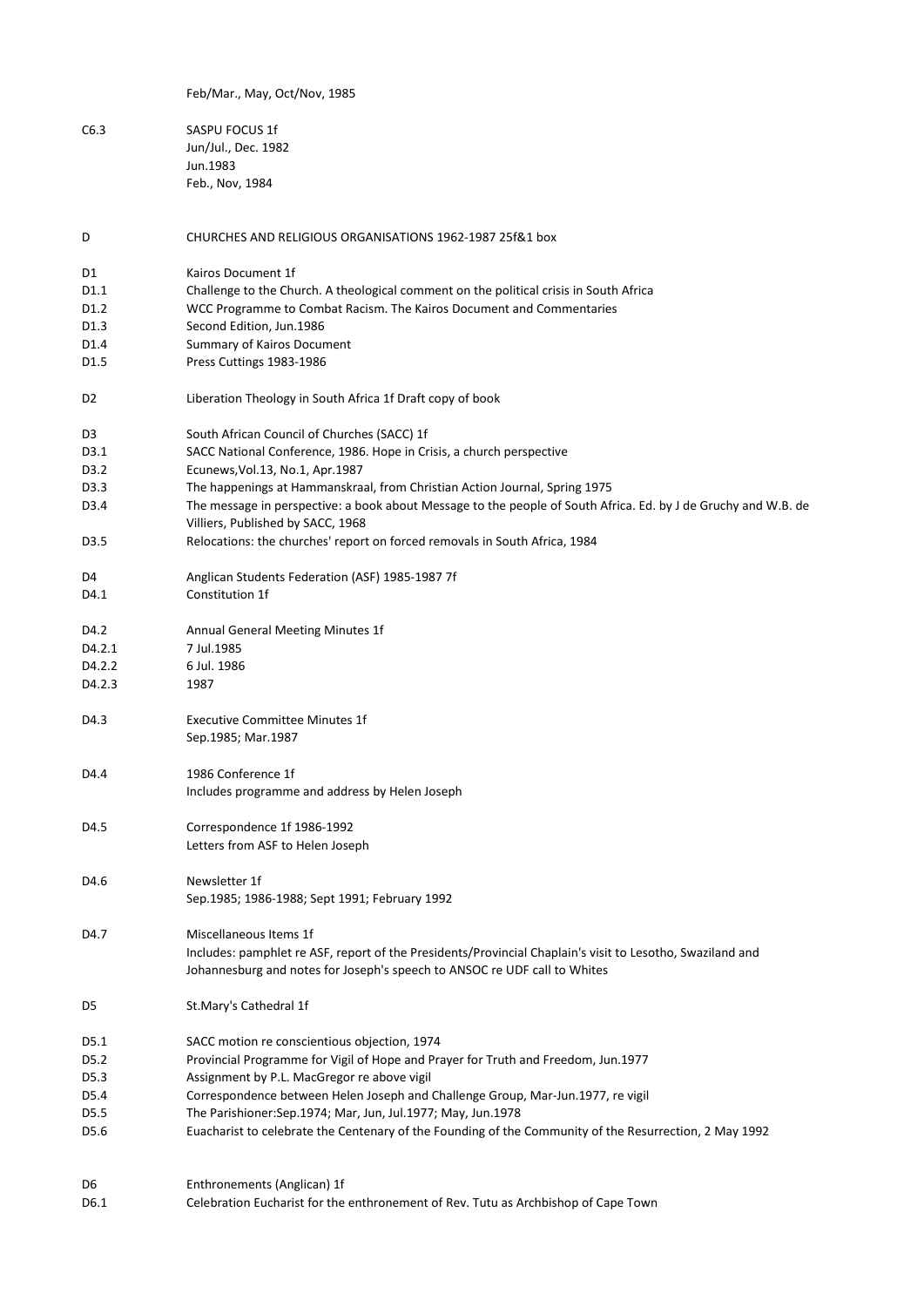|                   | Feb/Mar., May, Oct/Nov, 1985                                                                                                                                   |
|-------------------|----------------------------------------------------------------------------------------------------------------------------------------------------------------|
| C6.3              | SASPU FOCUS 1f                                                                                                                                                 |
|                   | Jun/Jul., Dec. 1982                                                                                                                                            |
|                   | Jun.1983                                                                                                                                                       |
|                   | Feb., Nov, 1984                                                                                                                                                |
| D                 | CHURCHES AND RELIGIOUS ORGANISATIONS 1962-1987 25f&1 box                                                                                                       |
|                   | Kairos Document 1f                                                                                                                                             |
| D1<br>D1.1        |                                                                                                                                                                |
| D <sub>1.2</sub>  | Challenge to the Church. A theological comment on the political crisis in South Africa<br>WCC Programme to Combat Racism. The Kairos Document and Commentaries |
| D <sub>1.3</sub>  | Second Edition, Jun.1986                                                                                                                                       |
| D1.4              | Summary of Kairos Document                                                                                                                                     |
| D1.5              | Press Cuttings 1983-1986                                                                                                                                       |
|                   |                                                                                                                                                                |
| D <sub>2</sub>    | Liberation Theology in South Africa 1f Draft copy of book                                                                                                      |
| D3                | South African Council of Churches (SACC) 1f                                                                                                                    |
| D3.1              | SACC National Conference, 1986. Hope in Crisis, a church perspective                                                                                           |
| D3.2              | Ecunews, Vol.13, No.1, Apr.1987                                                                                                                                |
| D3.3              | The happenings at Hammanskraal, from Christian Action Journal, Spring 1975                                                                                     |
| D <sub>3</sub> .4 | The message in perspective: a book about Message to the people of South Africa. Ed. by J de Gruchy and W.B. de                                                 |
|                   | Villiers, Published by SACC, 1968                                                                                                                              |
| D <sub>3</sub> .5 | Relocations: the churches' report on forced removals in South Africa, 1984                                                                                     |
| D4                | Anglican Students Federation (ASF) 1985-1987 7f                                                                                                                |
| D4.1              | Constitution 1f                                                                                                                                                |
| D4.2              | Annual General Meeting Minutes 1f                                                                                                                              |
| D4.2.1            | 7 Jul.1985                                                                                                                                                     |
| D4.2.2            | 6 Jul. 1986                                                                                                                                                    |
| D4.2.3            | 1987                                                                                                                                                           |
| D4.3              | <b>Executive Committee Minutes 1f</b>                                                                                                                          |
|                   | Sep.1985; Mar.1987                                                                                                                                             |
| D4.4              | 1986 Conference 1f                                                                                                                                             |
|                   | Includes programme and address by Helen Joseph                                                                                                                 |
| D4.5              | Correspondence 1f 1986-1992                                                                                                                                    |
|                   | Letters from ASF to Helen Joseph                                                                                                                               |
| D4.6              | Newsletter 1f                                                                                                                                                  |
|                   | Sep.1985; 1986-1988; Sept 1991; February 1992                                                                                                                  |
| D4.7              | Miscellaneous Items 1f                                                                                                                                         |
|                   | Includes: pamphlet re ASF, report of the Presidents/Provincial Chaplain's visit to Lesotho, Swaziland and                                                      |
|                   | Johannesburg and notes for Joseph's speech to ANSOC re UDF call to Whites                                                                                      |
| D5                | St.Mary's Cathedral 1f                                                                                                                                         |
| D5.1              | SACC motion re conscientious objection, 1974                                                                                                                   |
| D <sub>5.2</sub>  | Provincial Programme for Vigil of Hope and Prayer for Truth and Freedom, Jun.1977                                                                              |
| D5.3              | Assignment by P.L. MacGregor re above vigil                                                                                                                    |
| D5.4              | Correspondence between Helen Joseph and Challenge Group, Mar-Jun.1977, re vigil                                                                                |
| D5.5              | The Parishioner:Sep.1974; Mar, Jun, Jul.1977; May, Jun.1978                                                                                                    |
| D5.6              | Euacharist to celebrate the Centenary of the Founding of the Community of the Resurrection, 2 May 1992                                                         |
|                   |                                                                                                                                                                |
| D6                | Enthronements (Anglican) 1f                                                                                                                                    |
| D6.1              | Celebration Eucharist for the enthronement of Rev. Tutu as Archbishop of Cape Town                                                                             |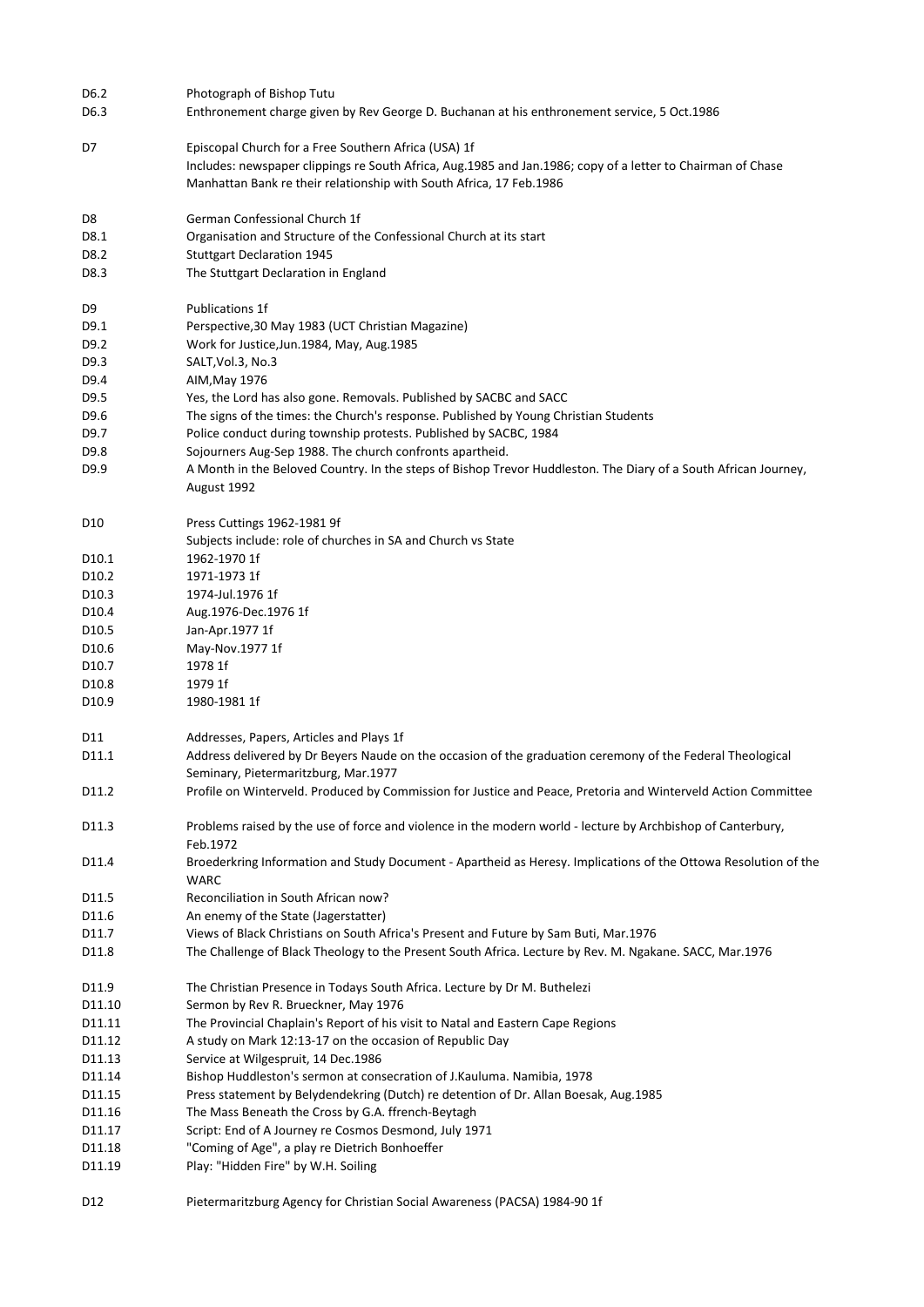| D6.2              | Photograph of Bishop Tutu                                                                                       |
|-------------------|-----------------------------------------------------------------------------------------------------------------|
| D6.3              | Enthronement charge given by Rev George D. Buchanan at his enthronement service, 5 Oct.1986                     |
|                   |                                                                                                                 |
| D7                | Episcopal Church for a Free Southern Africa (USA) 1f                                                            |
|                   | Includes: newspaper clippings re South Africa, Aug.1985 and Jan.1986; copy of a letter to Chairman of Chase     |
|                   | Manhattan Bank re their relationship with South Africa, 17 Feb.1986                                             |
|                   |                                                                                                                 |
| D8                | German Confessional Church 1f                                                                                   |
| D8.1              | Organisation and Structure of the Confessional Church at its start                                              |
| D8.2              | <b>Stuttgart Declaration 1945</b>                                                                               |
| D8.3              | The Stuttgart Declaration in England                                                                            |
|                   |                                                                                                                 |
| D9                | <b>Publications 1f</b>                                                                                          |
| D9.1              | Perspective, 30 May 1983 (UCT Christian Magazine)                                                               |
| D9.2              | Work for Justice, Jun. 1984, May, Aug. 1985                                                                     |
| D9.3              | SALT, Vol.3, No.3                                                                                               |
| D9.4              | AIM, May 1976                                                                                                   |
| D9.5              | Yes, the Lord has also gone. Removals. Published by SACBC and SACC                                              |
| D9.6              | The signs of the times: the Church's response. Published by Young Christian Students                            |
| D9.7              | Police conduct during township protests. Published by SACBC, 1984                                               |
| D9.8              | Sojourners Aug-Sep 1988. The church confronts apartheid.                                                        |
|                   |                                                                                                                 |
| D9.9              | A Month in the Beloved Country. In the steps of Bishop Trevor Huddleston. The Diary of a South African Journey, |
|                   | August 1992                                                                                                     |
| D10               | Press Cuttings 1962-1981 9f                                                                                     |
|                   | Subjects include: role of churches in SA and Church vs State                                                    |
| D <sub>10.1</sub> | 1962-1970 1f                                                                                                    |
| D <sub>10.2</sub> | 1971-1973 1f                                                                                                    |
|                   |                                                                                                                 |
| D <sub>10.3</sub> | 1974-Jul.1976 1f                                                                                                |
| D <sub>10.4</sub> | Aug.1976-Dec.1976 1f                                                                                            |
| D <sub>10.5</sub> | Jan-Apr.1977 1f                                                                                                 |
| D <sub>10.6</sub> | May-Nov.1977 1f                                                                                                 |
| D10.7             | 1978 1f                                                                                                         |
| D <sub>10.8</sub> | 1979 1f                                                                                                         |
| D <sub>10.9</sub> | 1980-1981 1f                                                                                                    |
|                   |                                                                                                                 |
| D11               | Addresses, Papers, Articles and Plays 1f                                                                        |
| D11.1             | Address delivered by Dr Beyers Naude on the occasion of the graduation ceremony of the Federal Theological      |
|                   | Seminary, Pietermaritzburg, Mar.1977                                                                            |
| D11.2             | Profile on Winterveld. Produced by Commission for Justice and Peace, Pretoria and Winterveld Action Committee   |
| D11.3             | Problems raised by the use of force and violence in the modern world - lecture by Archbishop of Canterbury,     |
|                   | Feb.1972                                                                                                        |
| D11.4             | Broederkring Information and Study Document - Apartheid as Heresy. Implications of the Ottowa Resolution of the |
|                   | WARC                                                                                                            |
| D11.5             | Reconciliation in South African now?                                                                            |
| D11.6             | An enemy of the State (Jagerstatter)                                                                            |
| D11.7             | Views of Black Christians on South Africa's Present and Future by Sam Buti, Mar.1976                            |
| D11.8             | The Challenge of Black Theology to the Present South Africa. Lecture by Rev. M. Ngakane. SACC, Mar.1976         |
|                   |                                                                                                                 |
| D11.9             | The Christian Presence in Todays South Africa. Lecture by Dr M. Buthelezi                                       |
| D11.10            | Sermon by Rev R. Brueckner, May 1976                                                                            |
| D11.11            | The Provincial Chaplain's Report of his visit to Natal and Eastern Cape Regions                                 |
| D11.12            | A study on Mark 12:13-17 on the occasion of Republic Day                                                        |
| D11.13            | Service at Wilgespruit, 14 Dec.1986                                                                             |
| D11.14            | Bishop Huddleston's sermon at consecration of J.Kauluma. Namibia, 1978                                          |
|                   |                                                                                                                 |
| D11.15            | Press statement by Belydendekring (Dutch) re detention of Dr. Allan Boesak, Aug.1985                            |
| D11.16            | The Mass Beneath the Cross by G.A. ffrench-Beytagh                                                              |
| D11.17            | Script: End of A Journey re Cosmos Desmond, July 1971                                                           |
| D11.18            | "Coming of Age", a play re Dietrich Bonhoeffer                                                                  |
| D11.19            | Play: "Hidden Fire" by W.H. Soiling                                                                             |
|                   |                                                                                                                 |
| D12               | Pietermaritzburg Agency for Christian Social Awareness (PACSA) 1984-90 1f                                       |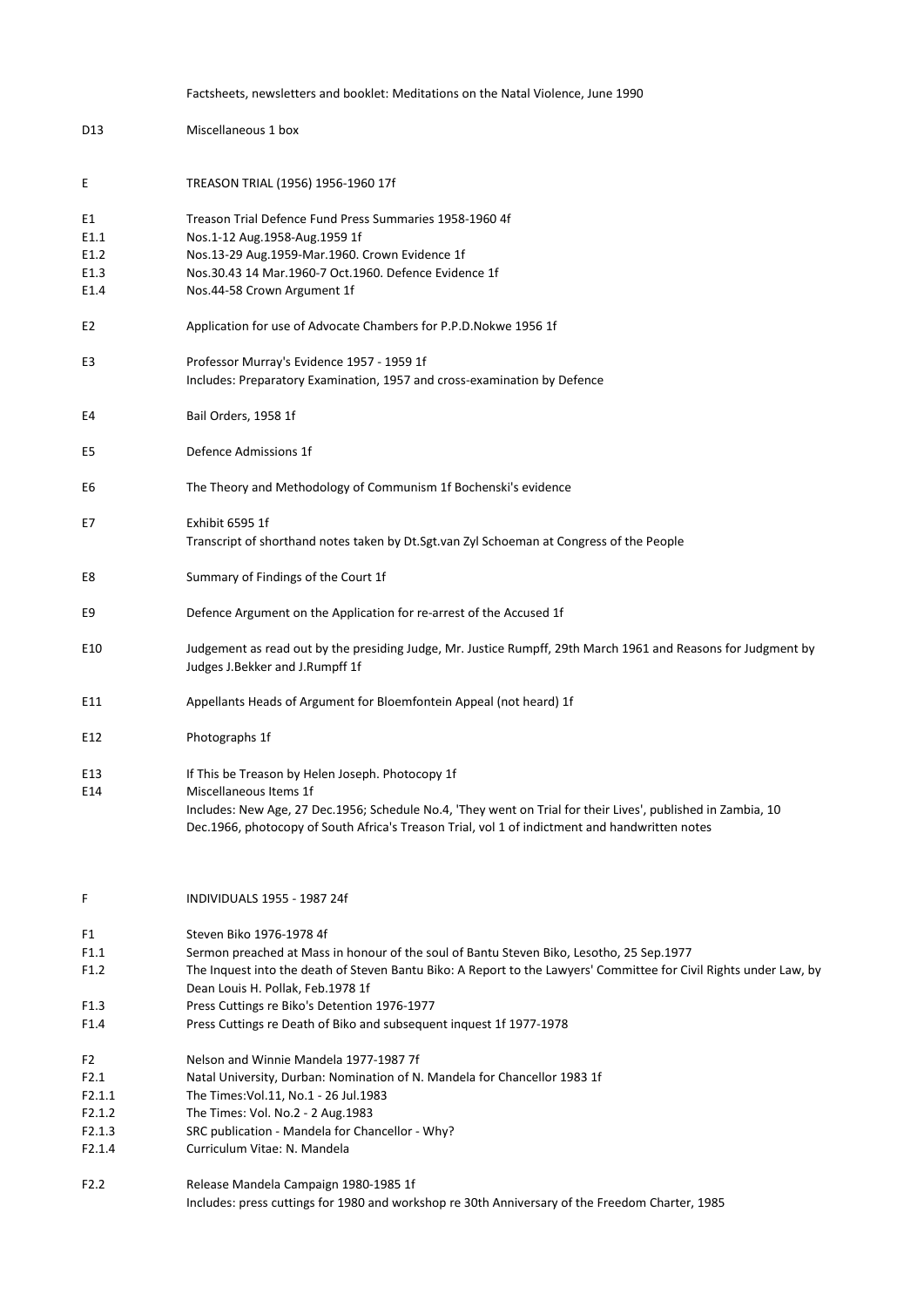|                  | Factsheets, newsletters and booklet: Meditations on the Natal Violence, June 1990                                                                                                                              |
|------------------|----------------------------------------------------------------------------------------------------------------------------------------------------------------------------------------------------------------|
| D13              | Miscellaneous 1 box                                                                                                                                                                                            |
| Ε                | TREASON TRIAL (1956) 1956-1960 17f                                                                                                                                                                             |
| E1               | Treason Trial Defence Fund Press Summaries 1958-1960 4f                                                                                                                                                        |
| E1.1             | Nos.1-12 Aug.1958-Aug.1959 1f                                                                                                                                                                                  |
| E1.2             | Nos.13-29 Aug.1959-Mar.1960. Crown Evidence 1f                                                                                                                                                                 |
| E1.3             | Nos.30.43 14 Mar.1960-7 Oct.1960. Defence Evidence 1f                                                                                                                                                          |
| E1.4             | Nos.44-58 Crown Argument 1f                                                                                                                                                                                    |
| E <sub>2</sub>   | Application for use of Advocate Chambers for P.P.D.Nokwe 1956 1f                                                                                                                                               |
| E3               | Professor Murray's Evidence 1957 - 1959 1f<br>Includes: Preparatory Examination, 1957 and cross-examination by Defence                                                                                         |
| E4               | Bail Orders, 1958 1f                                                                                                                                                                                           |
| E5               | Defence Admissions 1f                                                                                                                                                                                          |
| E6               | The Theory and Methodology of Communism 1f Bochenski's evidence                                                                                                                                                |
| E7               | Exhibit 6595 1f                                                                                                                                                                                                |
|                  | Transcript of shorthand notes taken by Dt.Sgt.van Zyl Schoeman at Congress of the People                                                                                                                       |
| E8               | Summary of Findings of the Court 1f                                                                                                                                                                            |
| E9               | Defence Argument on the Application for re-arrest of the Accused 1f                                                                                                                                            |
| E10              | Judgement as read out by the presiding Judge, Mr. Justice Rumpff, 29th March 1961 and Reasons for Judgment by<br>Judges J.Bekker and J.Rumpff 1f                                                               |
| E11              | Appellants Heads of Argument for Bloemfontein Appeal (not heard) 1f                                                                                                                                            |
| E12              | Photographs 1f                                                                                                                                                                                                 |
| E13              | If This be Treason by Helen Joseph. Photocopy 1f                                                                                                                                                               |
| E14              | Miscellaneous Items 1f                                                                                                                                                                                         |
|                  | Includes: New Age, 27 Dec.1956; Schedule No.4, 'They went on Trial for their Lives', published in Zambia, 10<br>Dec.1966, photocopy of South Africa's Treason Trial, vol 1 of indictment and handwritten notes |
| F                | INDIVIDUALS 1955 - 1987 24f                                                                                                                                                                                    |
| F1               | Steven Biko 1976-1978 4f                                                                                                                                                                                       |
| F1.1             | Sermon preached at Mass in honour of the soul of Bantu Steven Biko, Lesotho, 25 Sep.1977                                                                                                                       |
| F1.2             | The Inquest into the death of Steven Bantu Biko: A Report to the Lawyers' Committee for Civil Rights under Law, by<br>Dean Louis H. Pollak, Feb.1978 1f                                                        |
| F <sub>1.3</sub> | Press Cuttings re Biko's Detention 1976-1977                                                                                                                                                                   |
| F1.4             | Press Cuttings re Death of Biko and subsequent inquest 1f 1977-1978                                                                                                                                            |
| F2               | Nelson and Winnie Mandela 1977-1987 7f                                                                                                                                                                         |
| F2.1             | Natal University, Durban: Nomination of N. Mandela for Chancellor 1983 1f                                                                                                                                      |
| F2.1.1           | The Times: Vol.11, No.1 - 26 Jul.1983                                                                                                                                                                          |
| F2.1.2           | The Times: Vol. No.2 - 2 Aug.1983                                                                                                                                                                              |
| F2.1.3           | SRC publication - Mandela for Chancellor - Why?                                                                                                                                                                |
| F2.1.4           | Curriculum Vitae: N. Mandela                                                                                                                                                                                   |
| F <sub>2.2</sub> | Release Mandela Campaign 1980-1985 1f<br>Includes: press cuttings for 1980 and workshop re 30th Anniversary of the Freedom Charter, 1985                                                                       |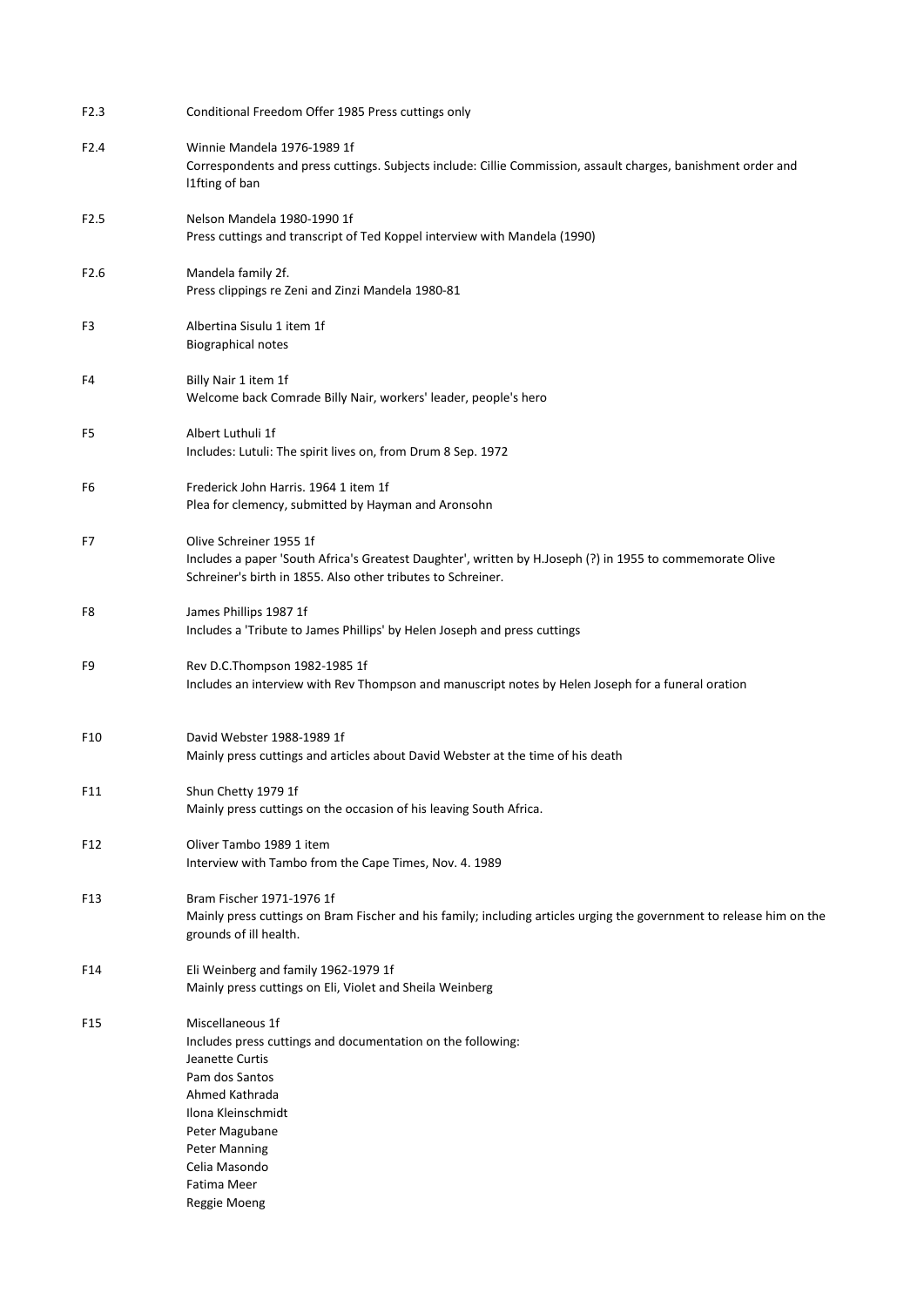| F <sub>2.3</sub> | Conditional Freedom Offer 1985 Press cuttings only                                                                                                                                                                                                     |
|------------------|--------------------------------------------------------------------------------------------------------------------------------------------------------------------------------------------------------------------------------------------------------|
| F2.4             | Winnie Mandela 1976-1989 1f<br>Correspondents and press cuttings. Subjects include: Cillie Commission, assault charges, banishment order and<br>I1fting of ban                                                                                         |
| F <sub>2.5</sub> | Nelson Mandela 1980-1990 1f<br>Press cuttings and transcript of Ted Koppel interview with Mandela (1990)                                                                                                                                               |
| F <sub>2.6</sub> | Mandela family 2f.<br>Press clippings re Zeni and Zinzi Mandela 1980-81                                                                                                                                                                                |
| F3               | Albertina Sisulu 1 item 1f<br><b>Biographical notes</b>                                                                                                                                                                                                |
| F4               | Billy Nair 1 item 1f<br>Welcome back Comrade Billy Nair, workers' leader, people's hero                                                                                                                                                                |
| F5               | Albert Luthuli 1f<br>Includes: Lutuli: The spirit lives on, from Drum 8 Sep. 1972                                                                                                                                                                      |
| F6               | Frederick John Harris. 1964 1 item 1f<br>Plea for clemency, submitted by Hayman and Aronsohn                                                                                                                                                           |
| F7               | Olive Schreiner 1955 1f<br>Includes a paper 'South Africa's Greatest Daughter', written by H.Joseph (?) in 1955 to commemorate Olive<br>Schreiner's birth in 1855. Also other tributes to Schreiner.                                                   |
| F8               | James Phillips 1987 1f<br>Includes a 'Tribute to James Phillips' by Helen Joseph and press cuttings                                                                                                                                                    |
| F9               | Rev D.C.Thompson 1982-1985 1f<br>Includes an interview with Rev Thompson and manuscript notes by Helen Joseph for a funeral oration                                                                                                                    |
| F10              | David Webster 1988-1989 1f<br>Mainly press cuttings and articles about David Webster at the time of his death                                                                                                                                          |
| F11              | Shun Chetty 1979 1f<br>Mainly press cuttings on the occasion of his leaving South Africa.                                                                                                                                                              |
| F12              | Oliver Tambo 1989 1 item<br>Interview with Tambo from the Cape Times, Nov. 4. 1989                                                                                                                                                                     |
| F13              | Bram Fischer 1971-1976 1f<br>Mainly press cuttings on Bram Fischer and his family; including articles urging the government to release him on the<br>grounds of ill health.                                                                            |
| F14              | Eli Weinberg and family 1962-1979 1f<br>Mainly press cuttings on Eli, Violet and Sheila Weinberg                                                                                                                                                       |
| F <sub>15</sub>  | Miscellaneous 1f<br>Includes press cuttings and documentation on the following:<br>Jeanette Curtis<br>Pam dos Santos<br>Ahmed Kathrada<br>Ilona Kleinschmidt<br>Peter Magubane<br><b>Peter Manning</b><br>Celia Masondo<br>Fatima Meer<br>Reggie Moeng |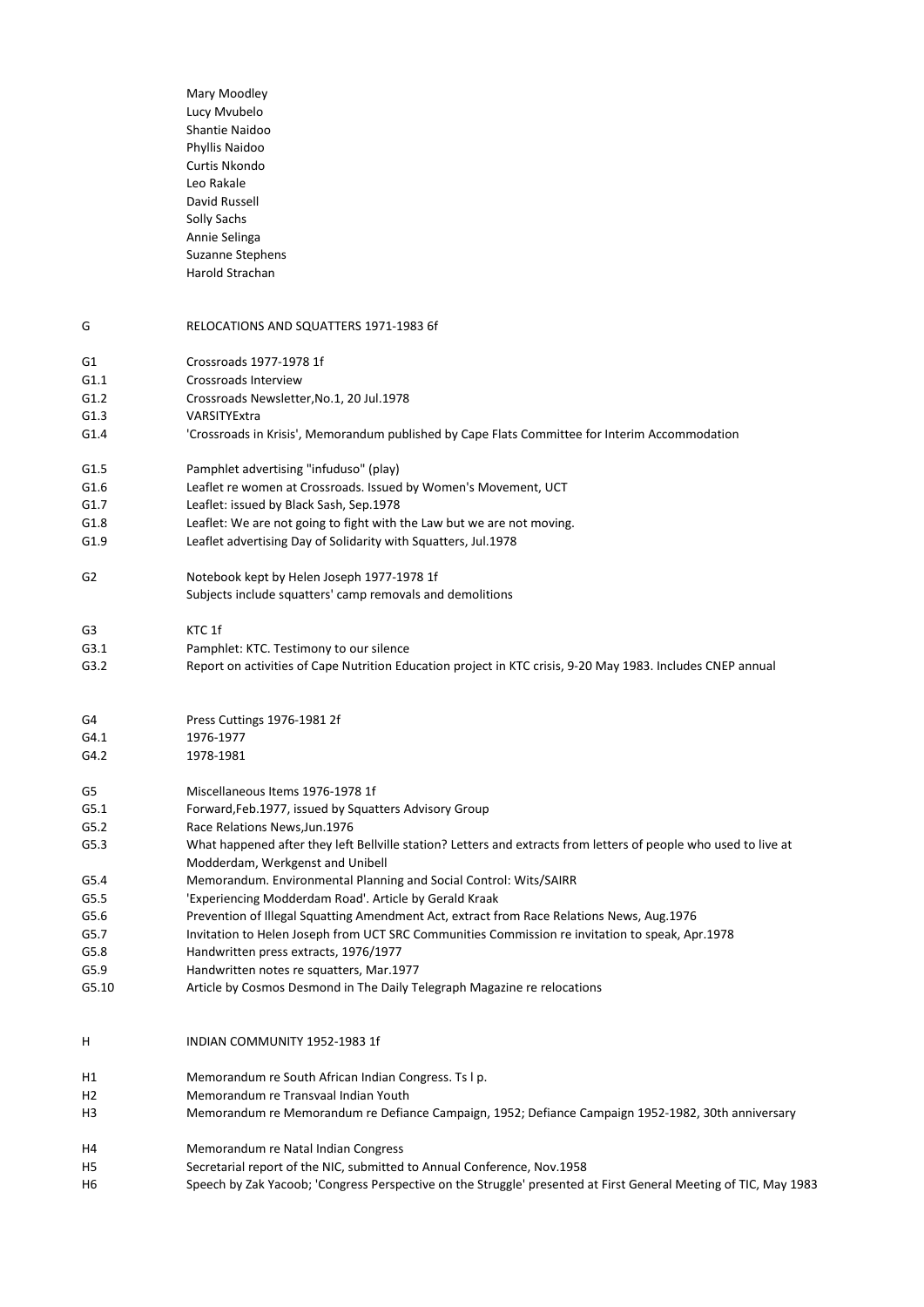|              | Mary Moodley                                                                                                      |
|--------------|-------------------------------------------------------------------------------------------------------------------|
|              | Lucy Mvubelo                                                                                                      |
|              | Shantie Naidoo                                                                                                    |
|              | Phyllis Naidoo                                                                                                    |
|              | Curtis Nkondo                                                                                                     |
|              | Leo Rakale                                                                                                        |
|              | David Russell                                                                                                     |
|              | Solly Sachs                                                                                                       |
|              | Annie Selinga                                                                                                     |
|              | Suzanne Stephens                                                                                                  |
|              | Harold Strachan                                                                                                   |
| G            | RELOCATIONS AND SQUATTERS 1971-1983 6f                                                                            |
|              | Crossroads 1977-1978 1f                                                                                           |
| G1           | Crossroads Interview                                                                                              |
| G1.1<br>G1.2 | Crossroads Newsletter, No.1, 20 Jul.1978                                                                          |
| G1.3         | VARSITYExtra                                                                                                      |
| G1.4         | 'Crossroads in Krisis', Memorandum published by Cape Flats Committee for Interim Accommodation                    |
|              |                                                                                                                   |
| G1.5         | Pamphlet advertising "infuduso" (play)                                                                            |
| G1.6         | Leaflet re women at Crossroads. Issued by Women's Movement, UCT                                                   |
| G1.7<br>G1.8 | Leaflet: issued by Black Sash, Sep.1978<br>Leaflet: We are not going to fight with the Law but we are not moving. |
| G1.9         | Leaflet advertising Day of Solidarity with Squatters, Jul.1978                                                    |
|              |                                                                                                                   |
| G2           | Notebook kept by Helen Joseph 1977-1978 1f<br>Subjects include squatters' camp removals and demolitions           |
| G3           | KTC 1f                                                                                                            |
| G3.1         | Pamphlet: KTC. Testimony to our silence                                                                           |
| G3.2         | Report on activities of Cape Nutrition Education project in KTC crisis, 9-20 May 1983. Includes CNEP annual       |
|              |                                                                                                                   |
| G4<br>G4.1   | Press Cuttings 1976-1981 2f<br>1976-1977                                                                          |
| G4.2         | 1978-1981                                                                                                         |
| G5           | Miscellaneous Items 1976-1978 1f                                                                                  |
| G5.1         | Forward, Feb.1977, issued by Squatters Advisory Group                                                             |
| G5.2         | Race Relations News, Jun. 1976                                                                                    |
| G5.3         | What happened after they left Bellville station? Letters and extracts from letters of people who used to live at  |
|              | Modderdam, Werkgenst and Unibell                                                                                  |
| G5.4         | Memorandum. Environmental Planning and Social Control: Wits/SAIRR                                                 |
| G5.5         | 'Experiencing Modderdam Road'. Article by Gerald Kraak                                                            |
| G5.6         | Prevention of Illegal Squatting Amendment Act, extract from Race Relations News, Aug.1976                         |
| G5.7         | Invitation to Helen Joseph from UCT SRC Communities Commission re invitation to speak, Apr.1978                   |
| G5.8         | Handwritten press extracts, 1976/1977                                                                             |
| G5.9         | Handwritten notes re squatters, Mar.1977                                                                          |
| G5.10        | Article by Cosmos Desmond in The Daily Telegraph Magazine re relocations                                          |
| Н            | INDIAN COMMUNITY 1952-1983 1f                                                                                     |
| Н1           | Memorandum re South African Indian Congress. Ts I p.                                                              |
| Н2           | Memorandum re Transvaal Indian Youth                                                                              |
| H3           | Memorandum re Memorandum re Defiance Campaign, 1952; Defiance Campaign 1952-1982, 30th anniversary                |
| H4           | Memorandum re Natal Indian Congress                                                                               |
| Η5           | Secretarial report of the NIC, submitted to Annual Conference, Nov.1958                                           |
| Н6           | Speech by Zak Yacoob; 'Congress Perspective on the Struggle' presented at First General Meeting of TIC, May 1983  |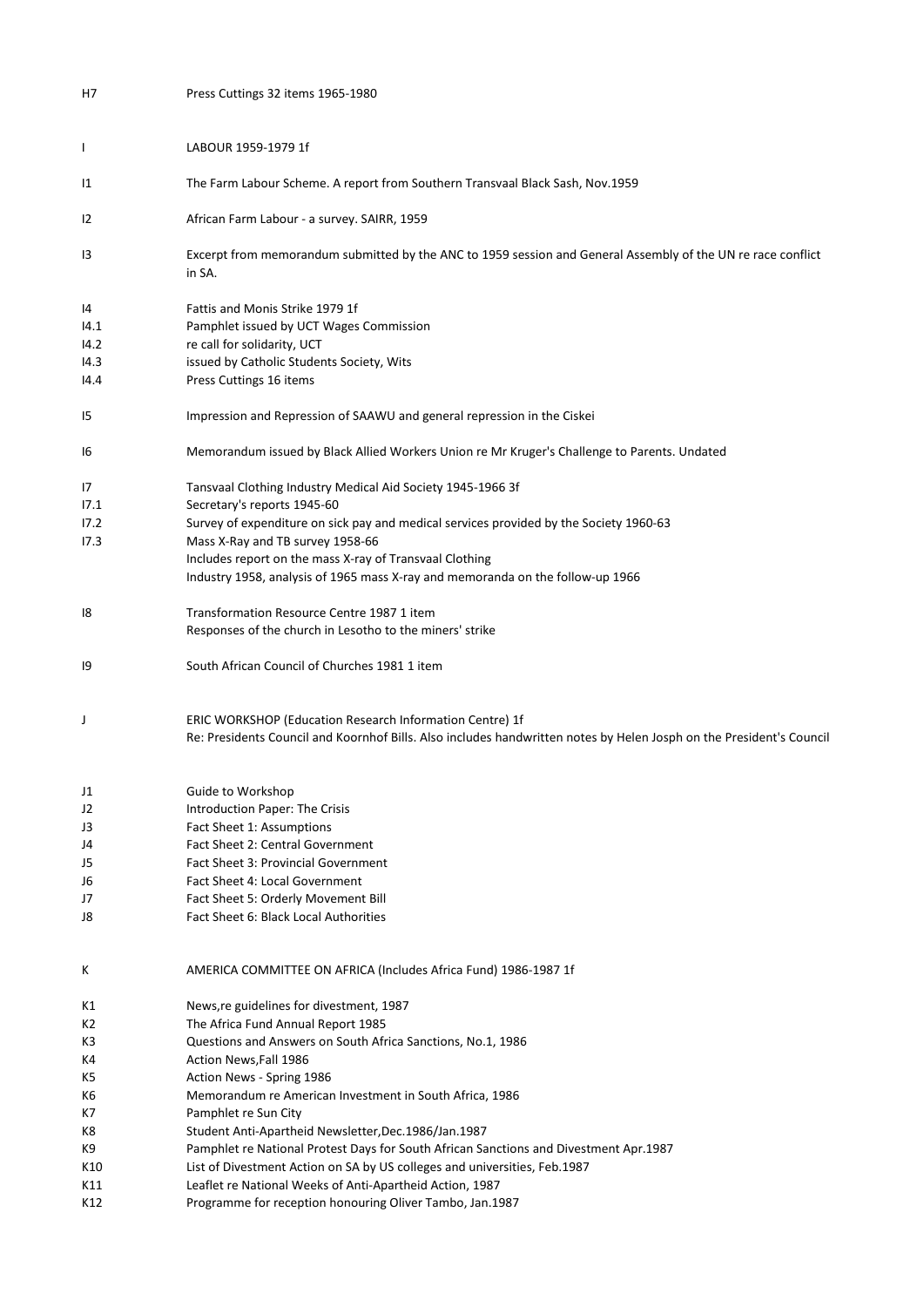| Η7   | Press Cuttings 32 items 1965-1980                                                                                                                                                |
|------|----------------------------------------------------------------------------------------------------------------------------------------------------------------------------------|
|      |                                                                                                                                                                                  |
| T    | LABOUR 1959-1979 1f                                                                                                                                                              |
| 11   | The Farm Labour Scheme. A report from Southern Transvaal Black Sash, Nov.1959                                                                                                    |
| 12   | African Farm Labour - a survey. SAIRR, 1959                                                                                                                                      |
| 13   | Excerpt from memorandum submitted by the ANC to 1959 session and General Assembly of the UN re race conflict<br>in SA.                                                           |
| 14   | Fattis and Monis Strike 1979 1f                                                                                                                                                  |
| 14.1 | Pamphlet issued by UCT Wages Commission                                                                                                                                          |
| 14.2 | re call for solidarity, UCT                                                                                                                                                      |
| 14.3 | issued by Catholic Students Society, Wits                                                                                                                                        |
| 14.4 | Press Cuttings 16 items                                                                                                                                                          |
| 15   | Impression and Repression of SAAWU and general repression in the Ciskei                                                                                                          |
| 16   | Memorandum issued by Black Allied Workers Union re Mr Kruger's Challenge to Parents. Undated                                                                                     |
| 17   | Tansvaal Clothing Industry Medical Aid Society 1945-1966 3f                                                                                                                      |
| 17.1 | Secretary's reports 1945-60                                                                                                                                                      |
| 17.2 | Survey of expenditure on sick pay and medical services provided by the Society 1960-63                                                                                           |
| 17.3 | Mass X-Ray and TB survey 1958-66                                                                                                                                                 |
|      | Includes report on the mass X-ray of Transvaal Clothing                                                                                                                          |
|      | Industry 1958, analysis of 1965 mass X-ray and memoranda on the follow-up 1966                                                                                                   |
| 18   | Transformation Resource Centre 1987 1 item                                                                                                                                       |
|      | Responses of the church in Lesotho to the miners' strike                                                                                                                         |
| 19   | South African Council of Churches 1981 1 item                                                                                                                                    |
| J    | ERIC WORKSHOP (Education Research Information Centre) 1f<br>Re: Presidents Council and Koornhof Bills. Also includes handwritten notes by Helen Josph on the President's Council |
| J1   | Guide to Workshop                                                                                                                                                                |
| J2   | Introduction Paper: The Crisis                                                                                                                                                   |
| J3   | Fact Sheet 1: Assumptions                                                                                                                                                        |
| J4   | Fact Sheet 2: Central Government                                                                                                                                                 |
| J5   | Fact Sheet 3: Provincial Government                                                                                                                                              |
| J6   | Fact Sheet 4: Local Government                                                                                                                                                   |
| J7   | Fact Sheet 5: Orderly Movement Bill                                                                                                                                              |
| J8   | Fact Sheet 6: Black Local Authorities                                                                                                                                            |
| Κ    | AMERICA COMMITTEE ON AFRICA (Includes Africa Fund) 1986-1987 1f                                                                                                                  |
| К1   | News, re guidelines for divestment, 1987                                                                                                                                         |
| K2   | The Africa Fund Annual Report 1985                                                                                                                                               |
| K3   | Questions and Answers on South Africa Sanctions, No.1, 1986                                                                                                                      |
| K4   | Action News, Fall 1986                                                                                                                                                           |
| K5   | Action News - Spring 1986                                                                                                                                                        |
| K6   | Memorandum re American Investment in South Africa, 1986                                                                                                                          |
| K7   | Pamphlet re Sun City                                                                                                                                                             |
| K8   | Student Anti-Apartheid Newsletter, Dec. 1986/Jan. 1987                                                                                                                           |
| K9   | Pamphlet re National Protest Days for South African Sanctions and Divestment Apr.1987                                                                                            |
| K10  | List of Divestment Action on SA by US colleges and universities, Feb.1987                                                                                                        |
| K11  | Leaflet re National Weeks of Anti-Apartheid Action, 1987                                                                                                                         |
| K12  | Programme for reception honouring Oliver Tambo, Jan.1987                                                                                                                         |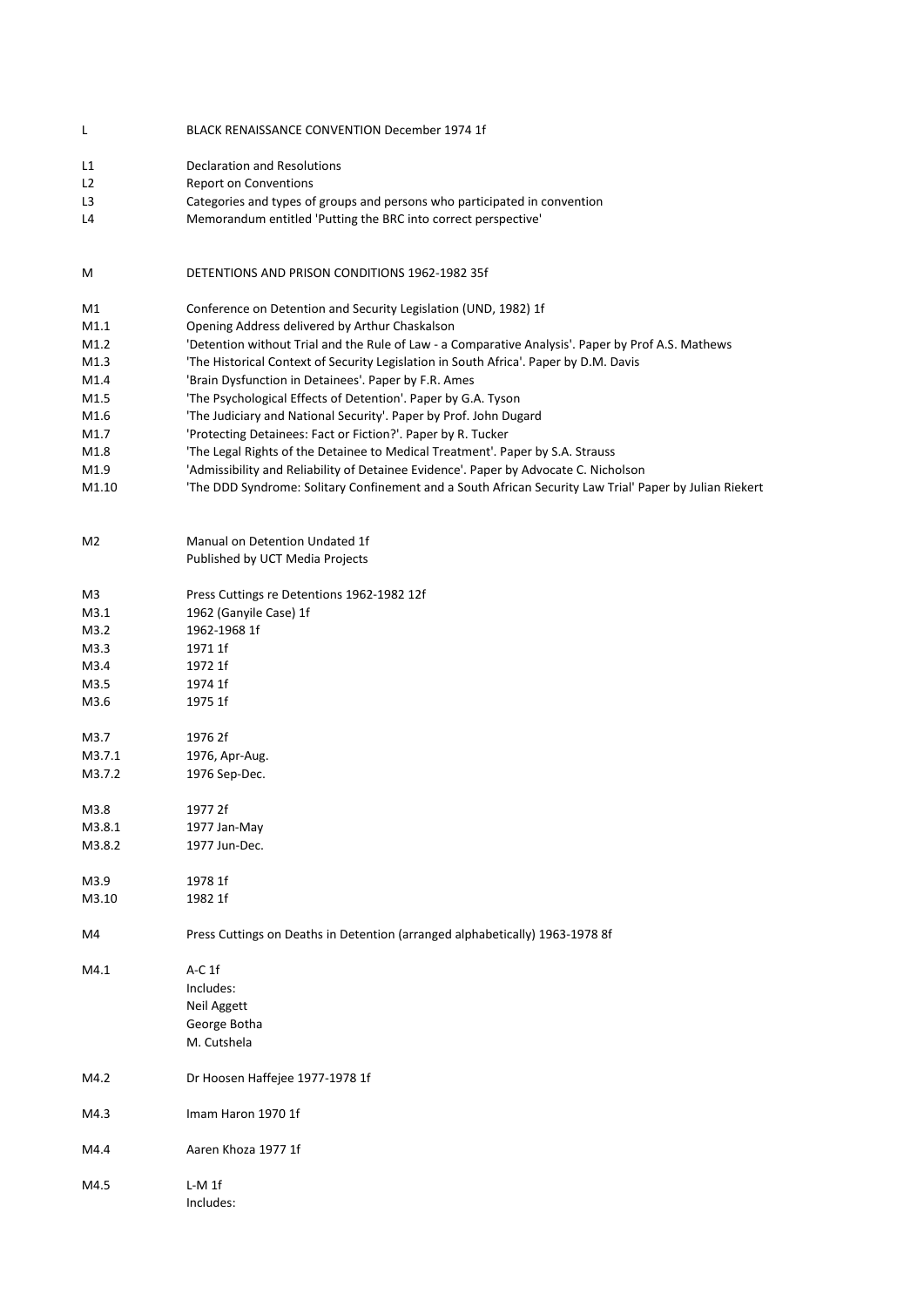| L              | <b>BLACK RENAISSANCE CONVENTION December 1974 1f</b>                                                    |
|----------------|---------------------------------------------------------------------------------------------------------|
| L1             | <b>Declaration and Resolutions</b>                                                                      |
| L <sub>2</sub> | <b>Report on Conventions</b>                                                                            |
| L <sub>3</sub> | Categories and types of groups and persons who participated in convention                               |
| L4             | Memorandum entitled 'Putting the BRC into correct perspective'                                          |
|                |                                                                                                         |
| M              | DETENTIONS AND PRISON CONDITIONS 1962-1982 35f                                                          |
| M1             | Conference on Detention and Security Legislation (UND, 1982) 1f                                         |
| M1.1           | Opening Address delivered by Arthur Chaskalson                                                          |
| M1.2           | 'Detention without Trial and the Rule of Law - a Comparative Analysis'. Paper by Prof A.S. Mathews      |
| M1.3           | 'The Historical Context of Security Legislation in South Africa'. Paper by D.M. Davis                   |
| M1.4           | 'Brain Dysfunction in Detainees'. Paper by F.R. Ames                                                    |
| M1.5           | 'The Psychological Effects of Detention'. Paper by G.A. Tyson                                           |
| M1.6           | 'The Judiciary and National Security'. Paper by Prof. John Dugard                                       |
| M1.7           | 'Protecting Detainees: Fact or Fiction?'. Paper by R. Tucker                                            |
| M1.8           | 'The Legal Rights of the Detainee to Medical Treatment'. Paper by S.A. Strauss                          |
| M1.9           | 'Admissibility and Reliability of Detainee Evidence'. Paper by Advocate C. Nicholson                    |
| M1.10          | 'The DDD Syndrome: Solitary Confinement and a South African Security Law Trial' Paper by Julian Riekert |
|                |                                                                                                         |
| M <sub>2</sub> | Manual on Detention Undated 1f                                                                          |
|                | Published by UCT Media Projects                                                                         |
|                |                                                                                                         |
| M3             | Press Cuttings re Detentions 1962-1982 12f                                                              |
| M3.1           | 1962 (Ganyile Case) 1f                                                                                  |
| M3.2           | 1962-1968 1f                                                                                            |
| M3.3           | 1971 1f                                                                                                 |
| M3.4           | 1972 1f                                                                                                 |
| M3.5           | 1974 1f                                                                                                 |
| M3.6           | 1975 1f                                                                                                 |
| M3.7           | 1976 2f                                                                                                 |
| M3.7.1         | 1976, Apr-Aug.                                                                                          |
| M3.7.2         | 1976 Sep-Dec.                                                                                           |
|                |                                                                                                         |
| M3.8           | 1977 2f                                                                                                 |
| M3.8.1         | 1977 Jan-May                                                                                            |
| M3.8.2         | 1977 Jun-Dec.                                                                                           |
| M3.9           | 1978 1f                                                                                                 |
| M3.10          | 1982 1f                                                                                                 |
| M4             | Press Cuttings on Deaths in Detention (arranged alphabetically) 1963-1978 8f                            |
| M4.1           | $A-C1f$                                                                                                 |
|                | Includes:                                                                                               |
|                | Neil Aggett                                                                                             |
|                | George Botha                                                                                            |
|                | M. Cutshela                                                                                             |
| M4.2           | Dr Hoosen Haffejee 1977-1978 1f                                                                         |
| M4.3           | Imam Haron 1970 1f                                                                                      |
| M4.4           | Aaren Khoza 1977 1f                                                                                     |
| M4.5           | L-M 1f                                                                                                  |
|                | Includes:                                                                                               |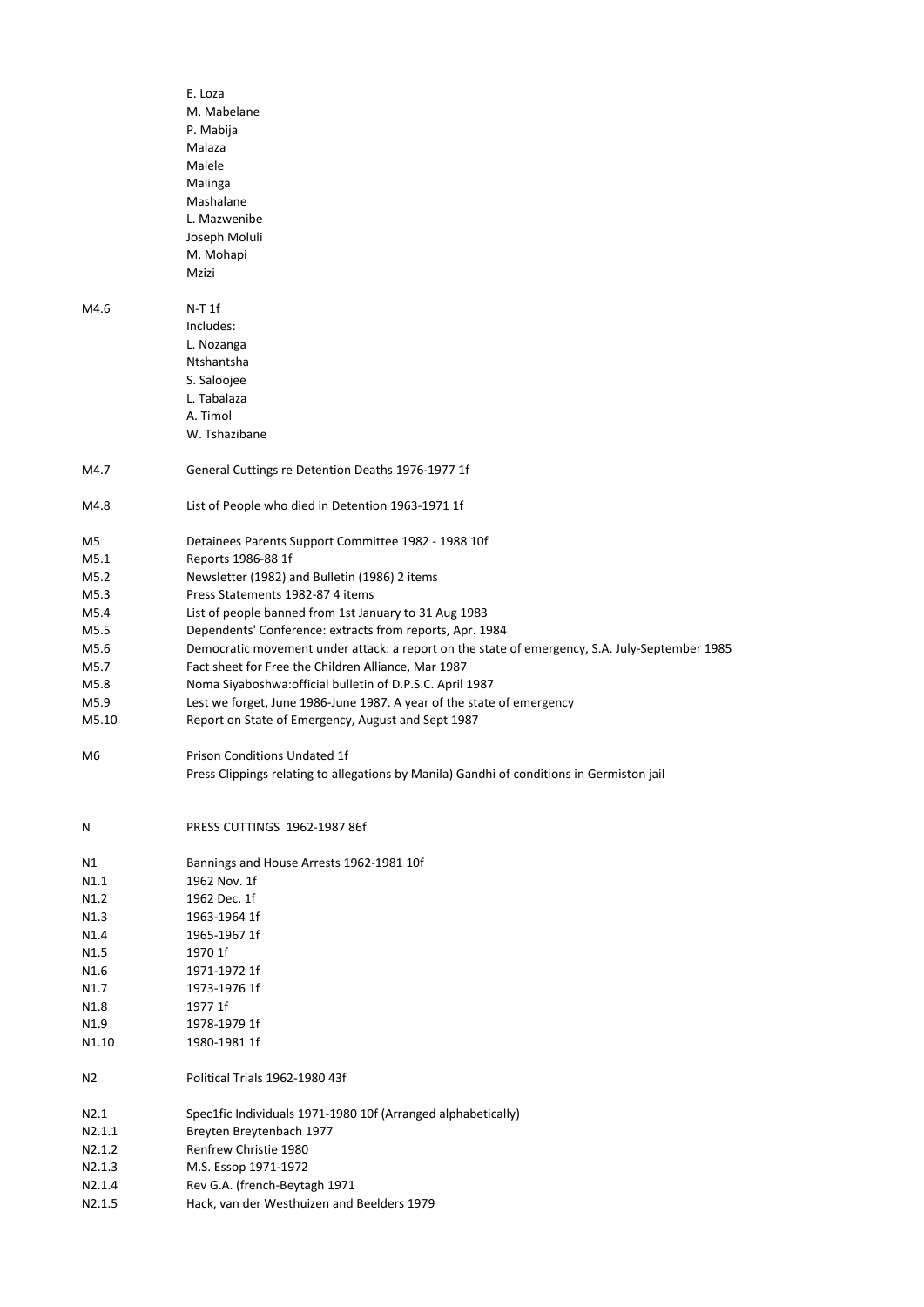|        | E. Loza                                                                                        |
|--------|------------------------------------------------------------------------------------------------|
|        | M. Mabelane                                                                                    |
|        | P. Mabija                                                                                      |
|        | Malaza                                                                                         |
|        | Malele                                                                                         |
|        | Malinga                                                                                        |
|        | Mashalane                                                                                      |
|        | L. Mazwenibe                                                                                   |
|        | Joseph Moluli                                                                                  |
|        |                                                                                                |
|        | M. Mohapi                                                                                      |
|        | Mzizi                                                                                          |
|        |                                                                                                |
| M4.6   | $N-T1f$                                                                                        |
|        | Includes:                                                                                      |
|        | L. Nozanga                                                                                     |
|        | Ntshantsha                                                                                     |
|        | S. Saloojee                                                                                    |
|        | L. Tabalaza                                                                                    |
|        | A. Timol                                                                                       |
|        | W. Tshazibane                                                                                  |
|        |                                                                                                |
| M4.7   | General Cuttings re Detention Deaths 1976-1977 1f                                              |
|        |                                                                                                |
| M4.8   | List of People who died in Detention 1963-1971 1f                                              |
|        |                                                                                                |
| M5     | Detainees Parents Support Committee 1982 - 1988 10f                                            |
| M5.1   | Reports 1986-88 1f                                                                             |
| M5.2   | Newsletter (1982) and Bulletin (1986) 2 items                                                  |
| M5.3   | Press Statements 1982-87 4 items                                                               |
| M5.4   | List of people banned from 1st January to 31 Aug 1983                                          |
| M5.5   | Dependents' Conference: extracts from reports, Apr. 1984                                       |
| M5.6   | Democratic movement under attack: a report on the state of emergency, S.A. July-September 1985 |
| M5.7   | Fact sheet for Free the Children Alliance, Mar 1987                                            |
| M5.8   | Noma Siyaboshwa: official bulletin of D.P.S.C. April 1987                                      |
| M5.9   | Lest we forget, June 1986-June 1987. A year of the state of emergency                          |
| M5.10  | Report on State of Emergency, August and Sept 1987                                             |
|        |                                                                                                |
| M6     | <b>Prison Conditions Undated 1f</b>                                                            |
|        |                                                                                                |
|        | Press Clippings relating to allegations by Manila) Gandhi of conditions in Germiston jail      |
|        |                                                                                                |
|        |                                                                                                |
| N      | PRESS CUTTINGS 1962-1987 86f                                                                   |
|        |                                                                                                |
| Ν1     | Bannings and House Arrests 1962-1981 10f                                                       |
| N1.1   | 1962 Nov. 1f                                                                                   |
| N1.2   | 1962 Dec. 1f                                                                                   |
| N1.3   | 1963-1964 1f                                                                                   |
| N1.4   | 1965-1967 1f                                                                                   |
| N1.5   | 1970 1f                                                                                        |
| N1.6   | 1971-1972 1f                                                                                   |
| N1.7   | 1973-1976 1f                                                                                   |
| N1.8   | 1977 1f                                                                                        |
| N1.9   | 1978-1979 1f                                                                                   |
| N1.10  | 1980-1981 1f                                                                                   |
|        |                                                                                                |
| N2     | Political Trials 1962-1980 43f                                                                 |
|        |                                                                                                |
| N2.1   | Spec1fic Individuals 1971-1980 10f (Arranged alphabetically)                                   |
| N2.1.1 | Breyten Breytenbach 1977                                                                       |
| N2.1.2 | Renfrew Christie 1980                                                                          |
| N2.1.3 | M.S. Essop 1971-1972                                                                           |
| N2.1.4 | Rev G.A. (french-Beytagh 1971                                                                  |
| N2.1.5 | Hack, van der Westhuizen and Beelders 1979                                                     |
|        |                                                                                                |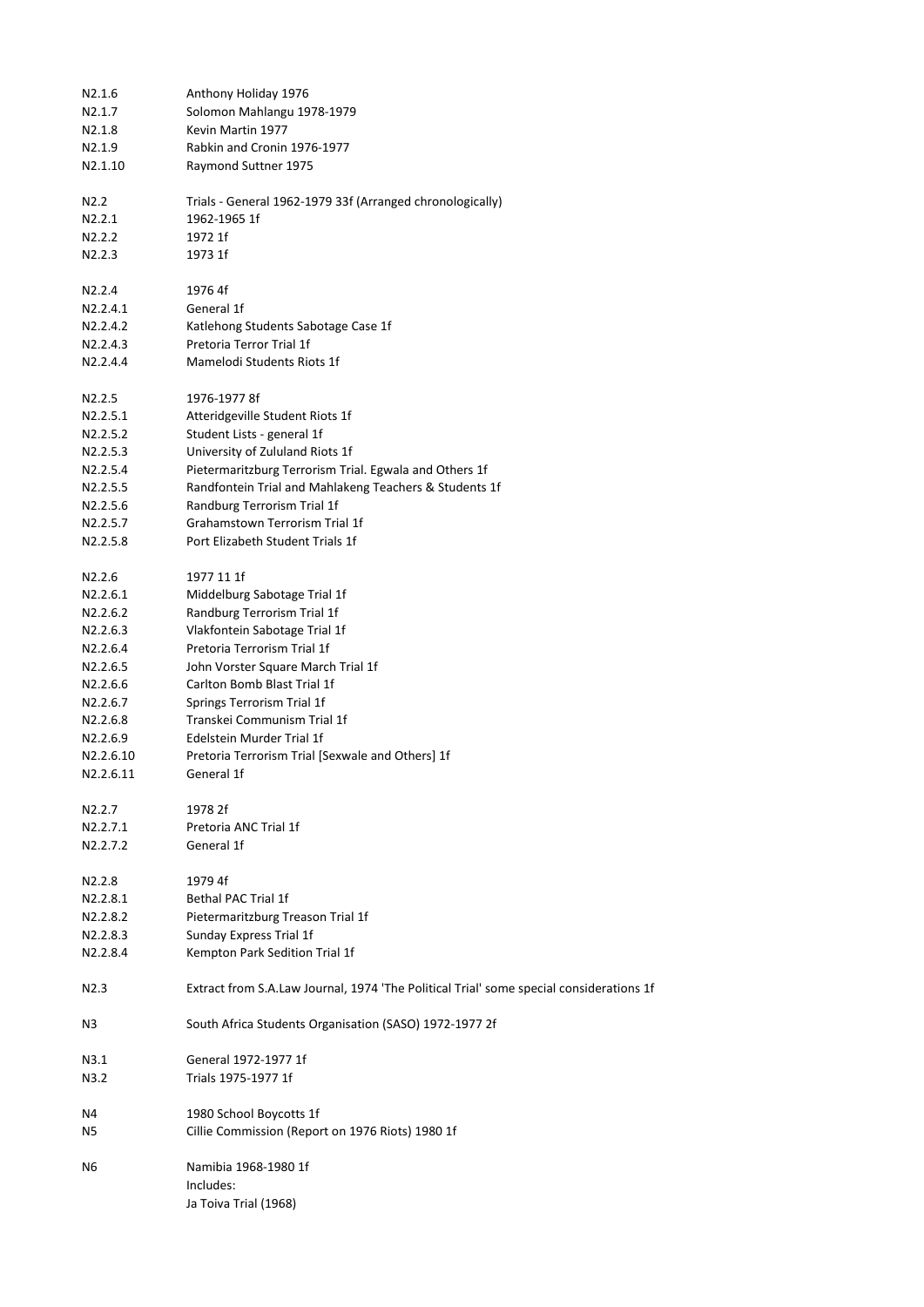| N2.1.6                         | Anthony Holiday 1976                                                                    |
|--------------------------------|-----------------------------------------------------------------------------------------|
| N2.1.7                         | Solomon Mahlangu 1978-1979                                                              |
| N2.1.8                         | Kevin Martin 1977                                                                       |
| N2.1.9                         | Rabkin and Cronin 1976-1977                                                             |
| N2.1.10                        | Raymond Suttner 1975                                                                    |
| N <sub>2.2</sub>               | Trials - General 1962-1979 33f (Arranged chronologically)                               |
| N2.2.1                         | 1962-1965 1f                                                                            |
| N2.2.2                         | 1972 1f                                                                                 |
| N <sub>2</sub> .2.3            | 1973 1f                                                                                 |
|                                |                                                                                         |
| N2.2.4                         | 1976 4f                                                                                 |
| N2.2.4.1                       | General 1f                                                                              |
| N2.2.4.2                       | Katlehong Students Sabotage Case 1f                                                     |
| N2.2.4.3                       | Pretoria Terror Trial 1f                                                                |
| N2.2.4.4                       | Mamelodi Students Riots 1f                                                              |
| N <sub>2</sub> .2.5            | 1976-1977 8f                                                                            |
| N2.2.5.1                       | Atteridgeville Student Riots 1f                                                         |
| N2.2.5.2                       | Student Lists - general 1f                                                              |
| N2.2.5.3                       | University of Zululand Riots 1f                                                         |
| N2.2.5.4                       | Pietermaritzburg Terrorism Trial. Egwala and Others 1f                                  |
| N2.2.5.5                       | Randfontein Trial and Mahlakeng Teachers & Students 1f                                  |
| N2.2.5.6                       | Randburg Terrorism Trial 1f                                                             |
| N2.2.5.7                       | Grahamstown Terrorism Trial 1f                                                          |
| N2.2.5.8                       | Port Elizabeth Student Trials 1f                                                        |
|                                |                                                                                         |
| N2.2.6                         | 1977 11 1f                                                                              |
| N2.2.6.1                       | Middelburg Sabotage Trial 1f                                                            |
| N2.2.6.2                       | Randburg Terrorism Trial 1f                                                             |
| N2.2.6.3                       | Vlakfontein Sabotage Trial 1f                                                           |
| N2.2.6.4                       | Pretoria Terrorism Trial 1f                                                             |
| N2.2.6.5                       | John Vorster Square March Trial 1f                                                      |
| N2.2.6.6                       | Carlton Bomb Blast Trial 1f                                                             |
| N2.2.6.7                       | Springs Terrorism Trial 1f                                                              |
| N2.2.6.8                       | Transkei Communism Trial 1f                                                             |
| N2.2.6.9                       | Edelstein Murder Trial 1f                                                               |
| N2.2.6.10                      | Pretoria Terrorism Trial [Sexwale and Others] 1f                                        |
| N2.2.6.11                      | General 1f                                                                              |
| N <sub>2</sub> .2.7            | 1978 2f                                                                                 |
| N2.2.7.1                       | Pretoria ANC Trial 1f                                                                   |
| N2.2.7.2                       | General 1f                                                                              |
|                                |                                                                                         |
| N <sub>2.2.8</sub><br>N2.2.8.1 | 1979 4f<br><b>Bethal PAC Trial 1f</b>                                                   |
| N2.2.8.2                       |                                                                                         |
|                                | Pietermaritzburg Treason Trial 1f<br>Sunday Express Trial 1f                            |
| N2.2.8.3<br>N2.2.8.4           |                                                                                         |
|                                | Kempton Park Sedition Trial 1f                                                          |
| N <sub>2.3</sub>               | Extract from S.A.Law Journal, 1974 'The Political Trial' some special considerations 1f |
| N3                             | South Africa Students Organisation (SASO) 1972-1977 2f                                  |
| N3.1                           | General 1972-1977 1f                                                                    |
| N3.2                           | Trials 1975-1977 1f                                                                     |
| N4                             | 1980 School Boycotts 1f                                                                 |
| N5                             | Cillie Commission (Report on 1976 Riots) 1980 1f                                        |
|                                |                                                                                         |
| N6                             | Namibia 1968-1980 1f<br>Includes:                                                       |
|                                | Ja Toiva Trial (1968)                                                                   |
|                                |                                                                                         |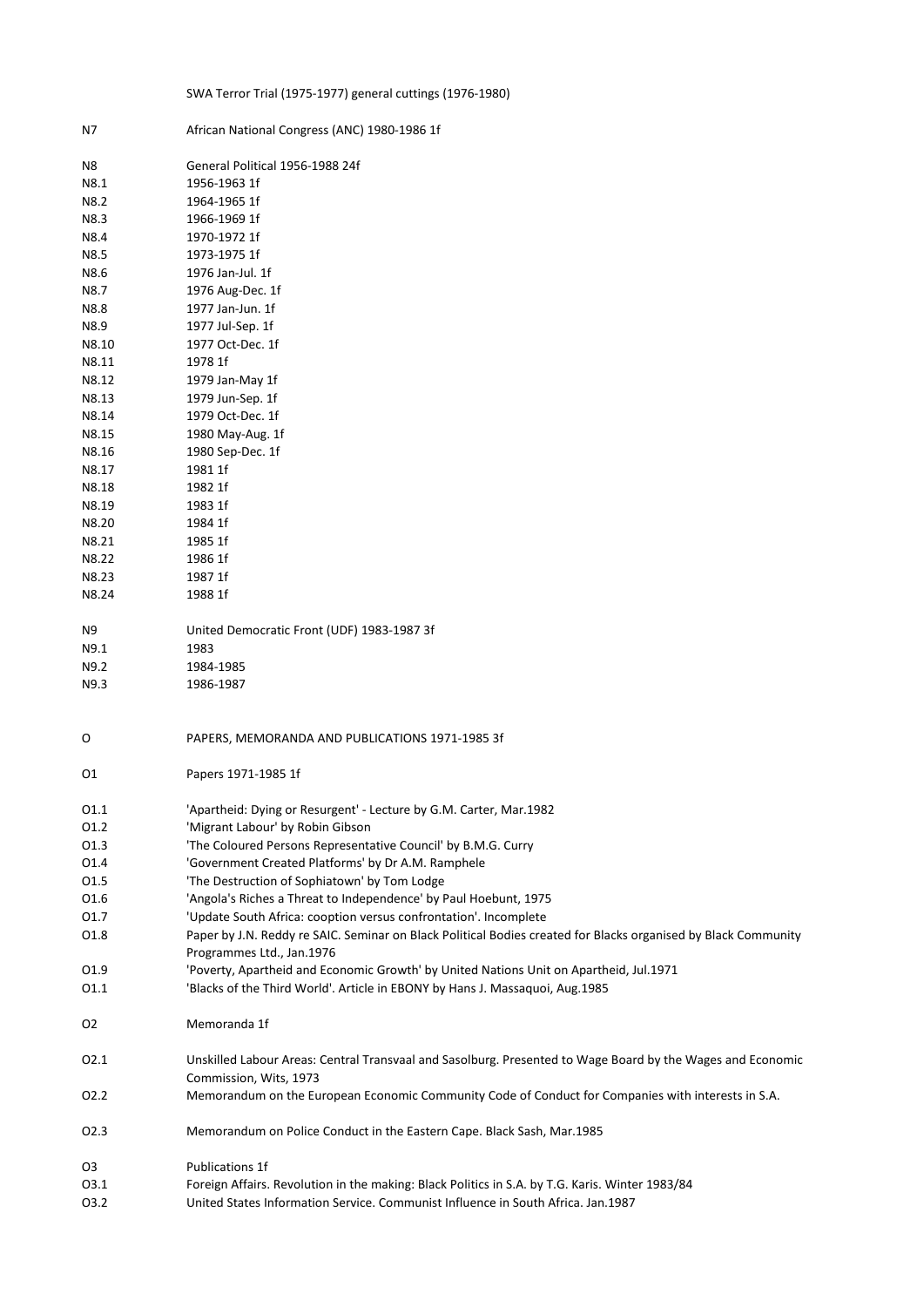## SWA Terror Trial (1975-1977) general cuttings (1976-1980)

| N7             | African National Congress (ANC) 1980-1986 1f                                                                                                |
|----------------|---------------------------------------------------------------------------------------------------------------------------------------------|
| N8             | General Political 1956-1988 24f                                                                                                             |
| N8.1           | 1956-1963 1f                                                                                                                                |
| N8.2           | 1964-1965 1f                                                                                                                                |
| N8.3           | 1966-1969 1f                                                                                                                                |
| N8.4           | 1970-1972 1f                                                                                                                                |
| N8.5           | 1973-1975 1f                                                                                                                                |
| N8.6           | 1976 Jan-Jul. 1f                                                                                                                            |
| N8.7           | 1976 Aug-Dec. 1f                                                                                                                            |
| N8.8           | 1977 Jan-Jun. 1f                                                                                                                            |
| N8.9           | 1977 Jul-Sep. 1f                                                                                                                            |
| N8.10          | 1977 Oct-Dec. 1f                                                                                                                            |
| N8.11          | 1978 1f                                                                                                                                     |
| N8.12          | 1979 Jan-May 1f                                                                                                                             |
| N8.13          | 1979 Jun-Sep. 1f                                                                                                                            |
| N8.14          | 1979 Oct-Dec. 1f                                                                                                                            |
| N8.15          | 1980 May-Aug. 1f                                                                                                                            |
| N8.16          | 1980 Sep-Dec. 1f                                                                                                                            |
| N8.17          | 1981 1f                                                                                                                                     |
| N8.18          | 1982 1f                                                                                                                                     |
| N8.19          | 1983 1f                                                                                                                                     |
| N8.20          | 1984 1f                                                                                                                                     |
| N8.21          | 1985 1f                                                                                                                                     |
| N8.22          | 1986 1f                                                                                                                                     |
| N8.23          | 1987 1f                                                                                                                                     |
| N8.24          | 1988 1f                                                                                                                                     |
|                |                                                                                                                                             |
| N9             | United Democratic Front (UDF) 1983-1987 3f                                                                                                  |
| N9.1           | 1983                                                                                                                                        |
| N9.2           | 1984-1985                                                                                                                                   |
| N9.3           | 1986-1987                                                                                                                                   |
| O              | PAPERS, MEMORANDA AND PUBLICATIONS 1971-1985 3f                                                                                             |
| 01             | Papers 1971-1985 1f                                                                                                                         |
| 01.1           | 'Apartheid: Dying or Resurgent' - Lecture by G.M. Carter, Mar.1982                                                                          |
| 01.2           | 'Migrant Labour' by Robin Gibson                                                                                                            |
| 01.3           | 'The Coloured Persons Representative Council' by B.M.G. Curry                                                                               |
| 01.4           | 'Government Created Platforms' by Dr A.M. Ramphele                                                                                          |
| 01.5           | 'The Destruction of Sophiatown' by Tom Lodge                                                                                                |
| 01.6           | 'Angola's Riches a Threat to Independence' by Paul Hoebunt, 1975                                                                            |
| 01.7           | 'Update South Africa: cooption versus confrontation'. Incomplete                                                                            |
| 01.8           | Paper by J.N. Reddy re SAIC. Seminar on Black Political Bodies created for Blacks organised by Black Community<br>Programmes Ltd., Jan.1976 |
| 01.9           | 'Poverty, Apartheid and Economic Growth' by United Nations Unit on Apartheid, Jul.1971                                                      |
| 01.1           | 'Blacks of the Third World'. Article in EBONY by Hans J. Massaquoi, Aug.1985                                                                |
| O <sub>2</sub> | Memoranda 1f                                                                                                                                |
| 02.1           | Unskilled Labour Areas: Central Transvaal and Sasolburg. Presented to Wage Board by the Wages and Economic<br>Commission, Wits, 1973        |
| 02.2           | Memorandum on the European Economic Community Code of Conduct for Companies with interests in S.A.                                          |
| 02.3           | Memorandum on Police Conduct in the Eastern Cape. Black Sash, Mar.1985                                                                      |
| O3             | Publications 1f                                                                                                                             |
| 03.1           | Foreign Affairs. Revolution in the making: Black Politics in S.A. by T.G. Karis. Winter 1983/84                                             |
| 03.2           | United States Information Service. Communist Influence in South Africa. Jan.1987                                                            |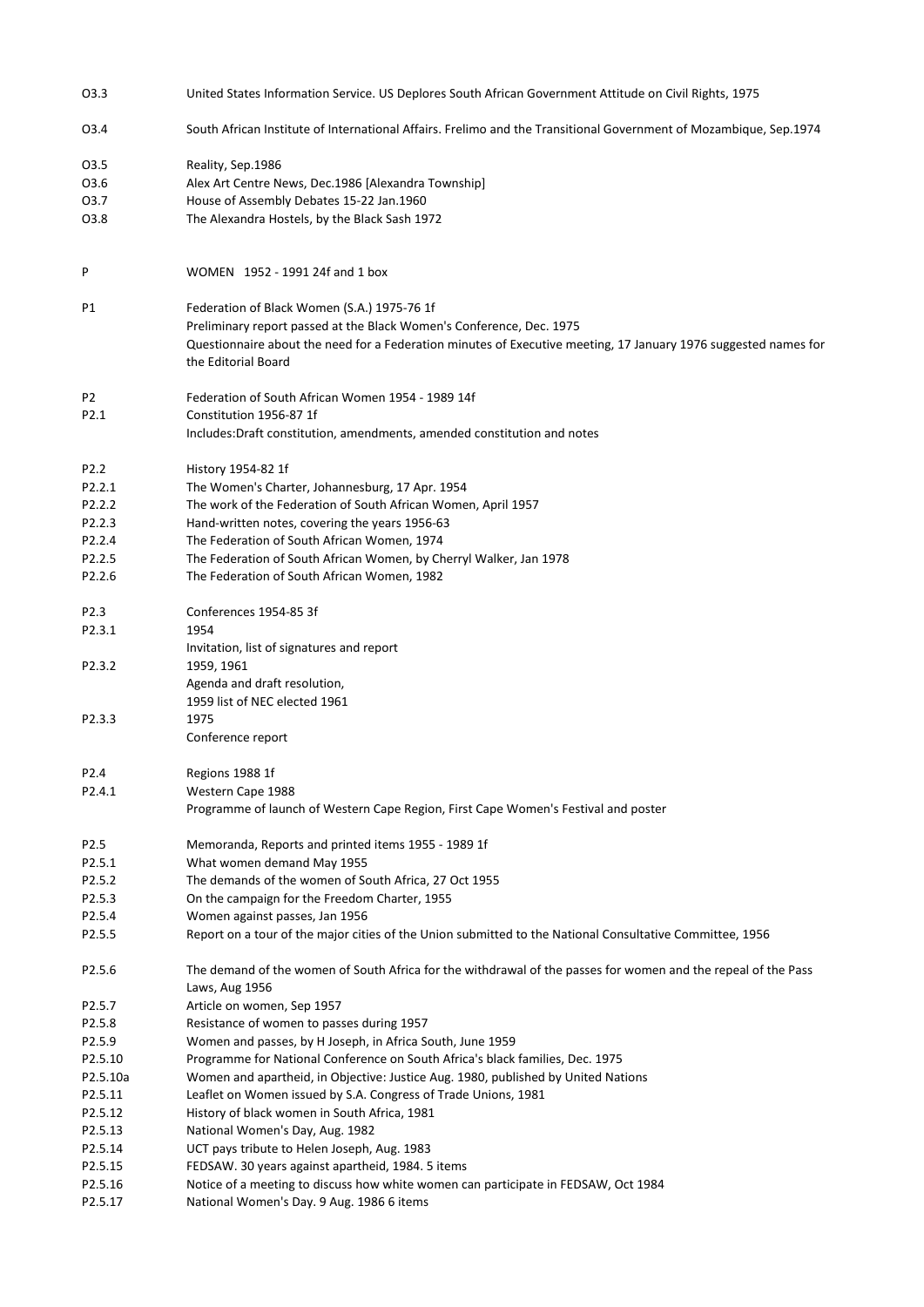| 03.3             | United States Information Service. US Deplores South African Government Attitude on Civil Rights, 1975                                 |
|------------------|----------------------------------------------------------------------------------------------------------------------------------------|
| 03.4             | South African Institute of International Affairs. Frelimo and the Transitional Government of Mozambique, Sep.1974                      |
| 03.5             | Reality, Sep.1986                                                                                                                      |
| 03.6             | Alex Art Centre News, Dec.1986 [Alexandra Township]                                                                                    |
| 03.7             | House of Assembly Debates 15-22 Jan.1960                                                                                               |
| 03.8             | The Alexandra Hostels, by the Black Sash 1972                                                                                          |
|                  |                                                                                                                                        |
| P                | WOMEN 1952 - 1991 24f and 1 box                                                                                                        |
| P1               | Federation of Black Women (S.A.) 1975-76 1f                                                                                            |
|                  | Preliminary report passed at the Black Women's Conference, Dec. 1975                                                                   |
|                  | Questionnaire about the need for a Federation minutes of Executive meeting, 17 January 1976 suggested names for<br>the Editorial Board |
| P <sub>2</sub>   | Federation of South African Women 1954 - 1989 14f                                                                                      |
| P2.1             | Constitution 1956-87 1f                                                                                                                |
|                  | Includes: Draft constitution, amendments, amended constitution and notes                                                               |
| P2.2             | History 1954-82 1f                                                                                                                     |
| P2.2.1           | The Women's Charter, Johannesburg, 17 Apr. 1954                                                                                        |
| P2.2.2           | The work of the Federation of South African Women, April 1957                                                                          |
| P2.2.3           | Hand-written notes, covering the years 1956-63                                                                                         |
| P2.2.4           | The Federation of South African Women, 1974                                                                                            |
| P2.2.5           | The Federation of South African Women, by Cherryl Walker, Jan 1978                                                                     |
| P2.2.6           | The Federation of South African Women, 1982                                                                                            |
| P <sub>2.3</sub> | Conferences 1954-85 3f                                                                                                                 |
| P2.3.1           | 1954                                                                                                                                   |
|                  | Invitation, list of signatures and report                                                                                              |
| P2.3.2           | 1959, 1961                                                                                                                             |
|                  | Agenda and draft resolution,                                                                                                           |
|                  | 1959 list of NEC elected 1961                                                                                                          |
| P2.3.3           | 1975                                                                                                                                   |
|                  | Conference report                                                                                                                      |
| P <sub>2.4</sub> | Regions 1988 1f                                                                                                                        |
| P2.4.1           | Western Cape 1988                                                                                                                      |
|                  | Programme of launch of Western Cape Region, First Cape Women's Festival and poster                                                     |
| P <sub>2.5</sub> | Memoranda, Reports and printed items 1955 - 1989 1f                                                                                    |
| P2.5.1           | What women demand May 1955                                                                                                             |
| P2.5.2           | The demands of the women of South Africa, 27 Oct 1955                                                                                  |
| P2.5.3           | On the campaign for the Freedom Charter, 1955                                                                                          |
| P2.5.4           | Women against passes, Jan 1956                                                                                                         |
| P2.5.5           | Report on a tour of the major cities of the Union submitted to the National Consultative Committee, 1956                               |
| P2.5.6           | The demand of the women of South Africa for the withdrawal of the passes for women and the repeal of the Pass<br>Laws, Aug 1956        |
| P2.5.7           | Article on women, Sep 1957                                                                                                             |
| P2.5.8           | Resistance of women to passes during 1957                                                                                              |
| P2.5.9           | Women and passes, by H Joseph, in Africa South, June 1959                                                                              |
| P2.5.10          | Programme for National Conference on South Africa's black families, Dec. 1975                                                          |
| P2.5.10a         | Women and apartheid, in Objective: Justice Aug. 1980, published by United Nations                                                      |
| P2.5.11          | Leaflet on Women issued by S.A. Congress of Trade Unions, 1981                                                                         |
| P2.5.12          | History of black women in South Africa, 1981                                                                                           |
| P2.5.13          | National Women's Day, Aug. 1982                                                                                                        |
| P2.5.14          | UCT pays tribute to Helen Joseph, Aug. 1983                                                                                            |
| P2.5.15          | FEDSAW. 30 years against apartheid, 1984. 5 items                                                                                      |
| P2.5.16          | Notice of a meeting to discuss how white women can participate in FEDSAW, Oct 1984                                                     |
| P2.5.17          | National Women's Day. 9 Aug. 1986 6 items                                                                                              |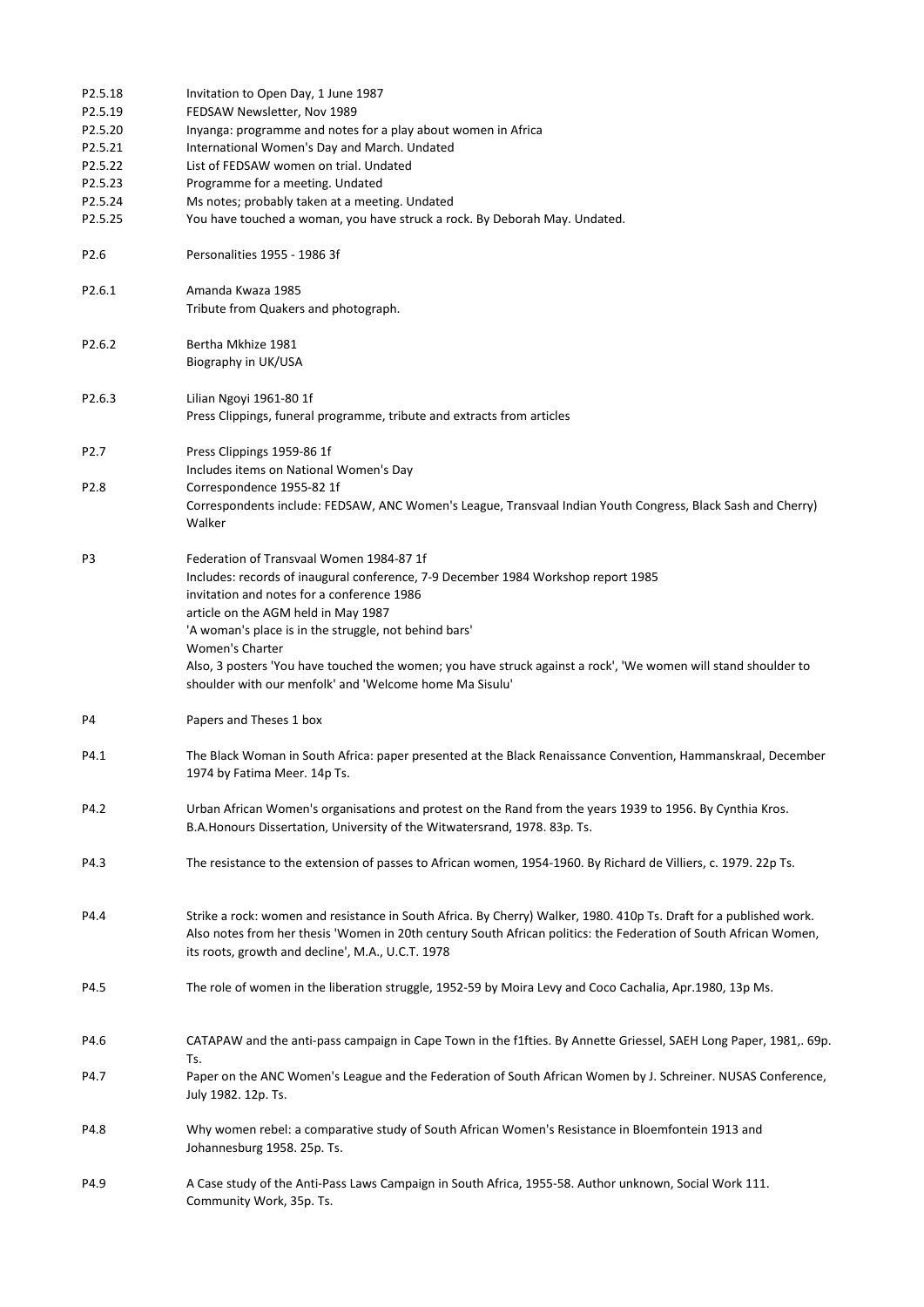| P2.5.18<br>P2.5.19<br>P2.5.20<br>P2.5.21<br>P2.5.22<br>P2.5.23<br>P2.5.24<br>P2.5.25 | Invitation to Open Day, 1 June 1987<br>FEDSAW Newsletter, Nov 1989<br>Inyanga: programme and notes for a play about women in Africa<br>International Women's Day and March. Undated<br>List of FEDSAW women on trial. Undated<br>Programme for a meeting. Undated<br>Ms notes; probably taken at a meeting. Undated<br>You have touched a woman, you have struck a rock. By Deborah May. Undated.                                                                           |
|--------------------------------------------------------------------------------------|-----------------------------------------------------------------------------------------------------------------------------------------------------------------------------------------------------------------------------------------------------------------------------------------------------------------------------------------------------------------------------------------------------------------------------------------------------------------------------|
| P <sub>2.6</sub>                                                                     | Personalities 1955 - 1986 3f                                                                                                                                                                                                                                                                                                                                                                                                                                                |
| P2.6.1                                                                               | Amanda Kwaza 1985<br>Tribute from Quakers and photograph.                                                                                                                                                                                                                                                                                                                                                                                                                   |
| P <sub>2.6.2</sub>                                                                   | Bertha Mkhize 1981<br>Biography in UK/USA                                                                                                                                                                                                                                                                                                                                                                                                                                   |
| P <sub>2.6.3</sub>                                                                   | Lilian Ngoyi 1961-80 1f<br>Press Clippings, funeral programme, tribute and extracts from articles                                                                                                                                                                                                                                                                                                                                                                           |
| P <sub>2.7</sub>                                                                     | Press Clippings 1959-86 1f<br>Includes items on National Women's Day                                                                                                                                                                                                                                                                                                                                                                                                        |
| P <sub>2.8</sub>                                                                     | Correspondence 1955-82 1f<br>Correspondents include: FEDSAW, ANC Women's League, Transvaal Indian Youth Congress, Black Sash and Cherry)<br>Walker                                                                                                                                                                                                                                                                                                                          |
| P3                                                                                   | Federation of Transvaal Women 1984-87 1f<br>Includes: records of inaugural conference, 7-9 December 1984 Workshop report 1985<br>invitation and notes for a conference 1986<br>article on the AGM held in May 1987<br>'A woman's place is in the struggle, not behind bars'<br>Women's Charter<br>Also, 3 posters 'You have touched the women; you have struck against a rock', 'We women will stand shoulder to<br>shoulder with our menfolk' and 'Welcome home Ma Sisulu' |
| P4                                                                                   | Papers and Theses 1 box                                                                                                                                                                                                                                                                                                                                                                                                                                                     |
| P4.1                                                                                 | The Black Woman in South Africa: paper presented at the Black Renaissance Convention, Hammanskraal, December<br>1974 by Fatima Meer. 14p Ts.                                                                                                                                                                                                                                                                                                                                |
| P4.2                                                                                 | Urban African Women's organisations and protest on the Rand from the years 1939 to 1956. By Cynthia Kros.<br>B.A.Honours Dissertation, University of the Witwatersrand, 1978. 83p. Ts.                                                                                                                                                                                                                                                                                      |
| P4.3                                                                                 | The resistance to the extension of passes to African women, 1954-1960. By Richard de Villiers, c. 1979. 22p Ts.                                                                                                                                                                                                                                                                                                                                                             |
| P4.4                                                                                 | Strike a rock: women and resistance in South Africa. By Cherry) Walker, 1980. 410p Ts. Draft for a published work.<br>Also notes from her thesis 'Women in 20th century South African politics: the Federation of South African Women,<br>its roots, growth and decline', M.A., U.C.T. 1978                                                                                                                                                                                 |
| P4.5                                                                                 | The role of women in the liberation struggle, 1952-59 by Moira Levy and Coco Cachalia, Apr.1980, 13p Ms.                                                                                                                                                                                                                                                                                                                                                                    |
| P4.6                                                                                 | CATAPAW and the anti-pass campaign in Cape Town in the f1fties. By Annette Griessel, SAEH Long Paper, 1981,. 69p.                                                                                                                                                                                                                                                                                                                                                           |
| P4.7                                                                                 | Ts.<br>Paper on the ANC Women's League and the Federation of South African Women by J. Schreiner. NUSAS Conference,<br>July 1982. 12p. Ts.                                                                                                                                                                                                                                                                                                                                  |
| P4.8                                                                                 | Why women rebel: a comparative study of South African Women's Resistance in Bloemfontein 1913 and<br>Johannesburg 1958. 25p. Ts.                                                                                                                                                                                                                                                                                                                                            |
| P4.9                                                                                 | A Case study of the Anti-Pass Laws Campaign in South Africa, 1955-58. Author unknown, Social Work 111.<br>Community Work, 35p. Ts.                                                                                                                                                                                                                                                                                                                                          |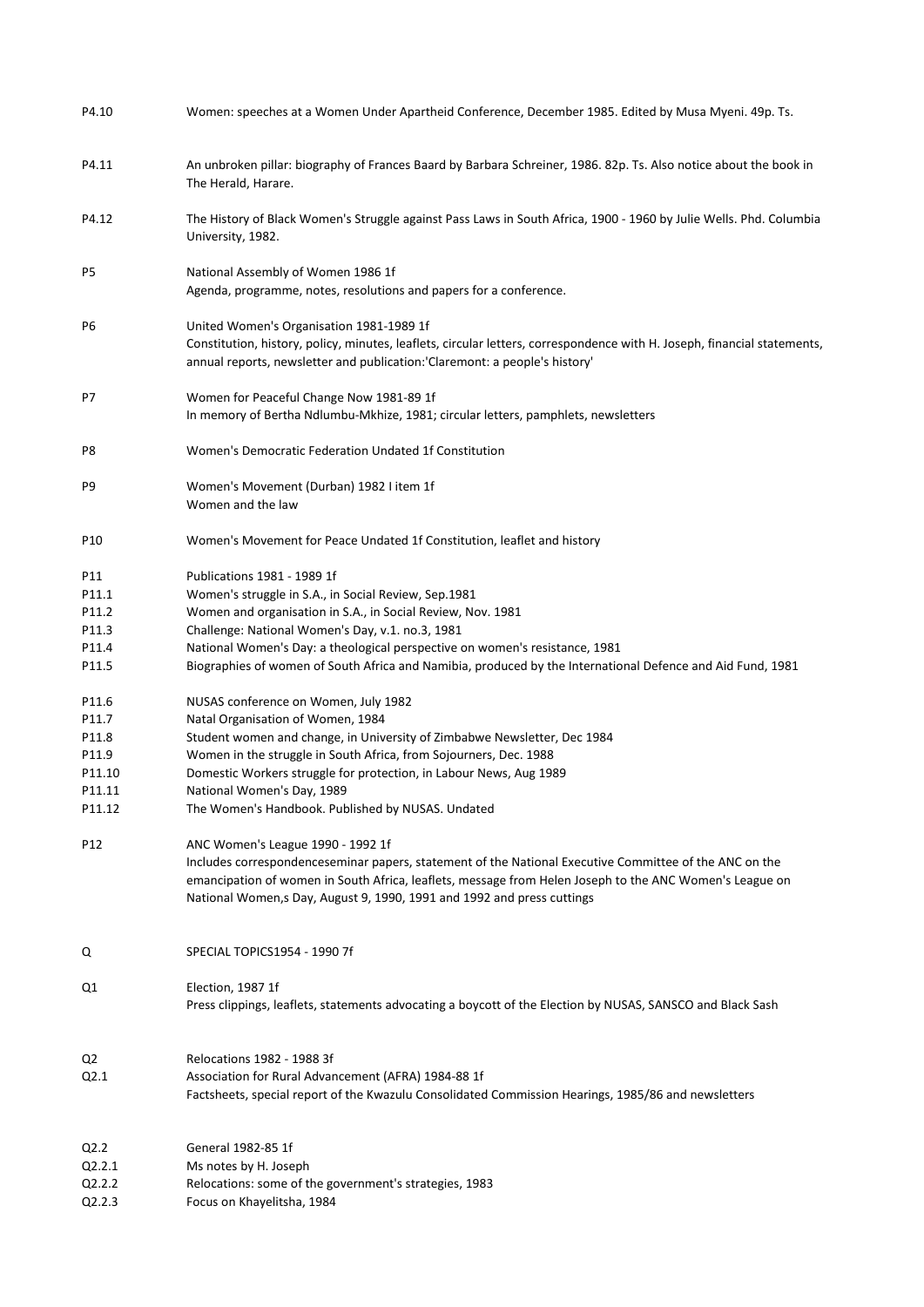| P4.10                                                     | Women: speeches at a Women Under Apartheid Conference, December 1985. Edited by Musa Myeni. 49p. Ts.                                                                                                                                                                                                                                                                                                                                        |
|-----------------------------------------------------------|---------------------------------------------------------------------------------------------------------------------------------------------------------------------------------------------------------------------------------------------------------------------------------------------------------------------------------------------------------------------------------------------------------------------------------------------|
| P4.11                                                     | An unbroken pillar: biography of Frances Baard by Barbara Schreiner, 1986. 82p. Ts. Also notice about the book in<br>The Herald, Harare.                                                                                                                                                                                                                                                                                                    |
| P4.12                                                     | The History of Black Women's Struggle against Pass Laws in South Africa, 1900 - 1960 by Julie Wells. Phd. Columbia<br>University, 1982.                                                                                                                                                                                                                                                                                                     |
| P5                                                        | National Assembly of Women 1986 1f<br>Agenda, programme, notes, resolutions and papers for a conference.                                                                                                                                                                                                                                                                                                                                    |
| P6                                                        | United Women's Organisation 1981-1989 1f<br>Constitution, history, policy, minutes, leaflets, circular letters, correspondence with H. Joseph, financial statements,<br>annual reports, newsletter and publication:'Claremont: a people's history'                                                                                                                                                                                          |
| P7                                                        | Women for Peaceful Change Now 1981-89 1f<br>In memory of Bertha Ndlumbu-Mkhize, 1981; circular letters, pamphlets, newsletters                                                                                                                                                                                                                                                                                                              |
| P8                                                        | Women's Democratic Federation Undated 1f Constitution                                                                                                                                                                                                                                                                                                                                                                                       |
| P9                                                        | Women's Movement (Durban) 1982 I item 1f<br>Women and the law                                                                                                                                                                                                                                                                                                                                                                               |
| P10                                                       | Women's Movement for Peace Undated 1f Constitution, leaflet and history                                                                                                                                                                                                                                                                                                                                                                     |
| P11<br>P11.1<br>P11.2<br>P11.3<br>P11.4<br>P11.5<br>P11.6 | Publications 1981 - 1989 1f<br>Women's struggle in S.A., in Social Review, Sep.1981<br>Women and organisation in S.A., in Social Review, Nov. 1981<br>Challenge: National Women's Day, v.1. no.3, 1981<br>National Women's Day: a theological perspective on women's resistance, 1981<br>Biographies of women of South Africa and Namibia, produced by the International Defence and Aid Fund, 1981<br>NUSAS conference on Women, July 1982 |
| P11.7                                                     | Natal Organisation of Women, 1984                                                                                                                                                                                                                                                                                                                                                                                                           |
| P11.8                                                     | Student women and change, in University of Zimbabwe Newsletter, Dec 1984                                                                                                                                                                                                                                                                                                                                                                    |
| P11.9                                                     | Women in the struggle in South Africa, from Sojourners, Dec. 1988                                                                                                                                                                                                                                                                                                                                                                           |
| P11.10                                                    | Domestic Workers struggle for protection, in Labour News, Aug 1989                                                                                                                                                                                                                                                                                                                                                                          |
| P11.11                                                    | National Women's Day, 1989                                                                                                                                                                                                                                                                                                                                                                                                                  |
| P11.12                                                    | The Women's Handbook. Published by NUSAS. Undated                                                                                                                                                                                                                                                                                                                                                                                           |
| P12                                                       | ANC Women's League 1990 - 1992 1f<br>Includes correspondenceseminar papers, statement of the National Executive Committee of the ANC on the<br>emancipation of women in South Africa, leaflets, message from Helen Joseph to the ANC Women's League on<br>National Women, s Day, August 9, 1990, 1991 and 1992 and press cuttings                                                                                                           |
| Q                                                         | SPECIAL TOPICS1954 - 1990 7f                                                                                                                                                                                                                                                                                                                                                                                                                |
| Q1                                                        | Election, 1987 1f<br>Press clippings, leaflets, statements advocating a boycott of the Election by NUSAS, SANSCO and Black Sash                                                                                                                                                                                                                                                                                                             |
| Q2                                                        | Relocations 1982 - 1988 3f                                                                                                                                                                                                                                                                                                                                                                                                                  |
| Q2.1                                                      | Association for Rural Advancement (AFRA) 1984-88 1f<br>Factsheets, special report of the Kwazulu Consolidated Commission Hearings, 1985/86 and newsletters                                                                                                                                                                                                                                                                                  |
| Q2.2                                                      | General 1982-85 1f                                                                                                                                                                                                                                                                                                                                                                                                                          |
| Q2.2.1                                                    | Ms notes by H. Joseph                                                                                                                                                                                                                                                                                                                                                                                                                       |
| Q2.2.2<br>Q2.2.3                                          | Relocations: some of the government's strategies, 1983<br>Focus on Khayelitsha, 1984                                                                                                                                                                                                                                                                                                                                                        |
|                                                           |                                                                                                                                                                                                                                                                                                                                                                                                                                             |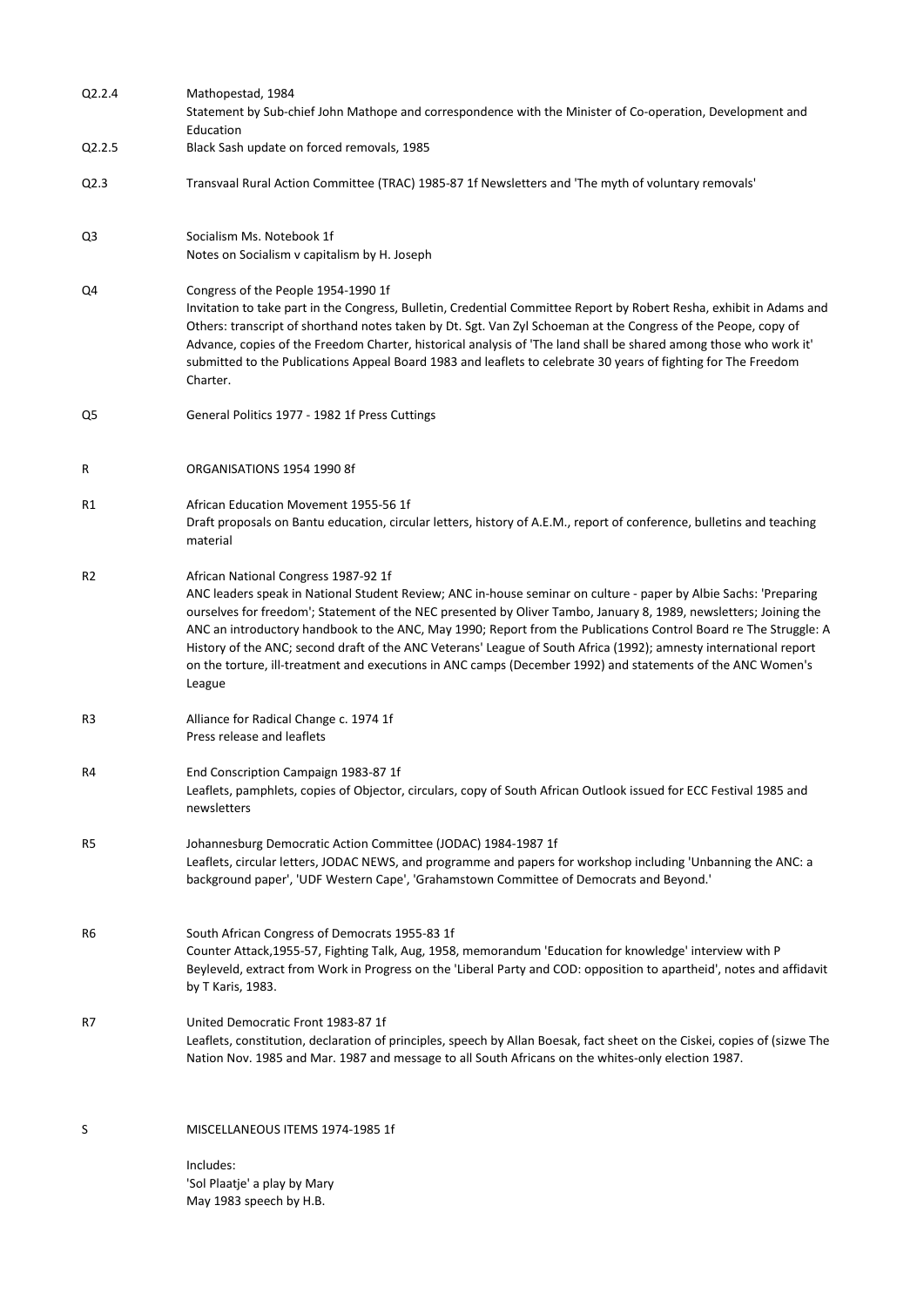| Q2.2.4              | Mathopestad, 1984                                                                                                                                                                                                                                                                                                                                                                                                                                                                                                                                                                                                                               |
|---------------------|-------------------------------------------------------------------------------------------------------------------------------------------------------------------------------------------------------------------------------------------------------------------------------------------------------------------------------------------------------------------------------------------------------------------------------------------------------------------------------------------------------------------------------------------------------------------------------------------------------------------------------------------------|
|                     | Statement by Sub-chief John Mathope and correspondence with the Minister of Co-operation, Development and                                                                                                                                                                                                                                                                                                                                                                                                                                                                                                                                       |
|                     | Education                                                                                                                                                                                                                                                                                                                                                                                                                                                                                                                                                                                                                                       |
| Q <sub>2</sub> .2.5 | Black Sash update on forced removals, 1985                                                                                                                                                                                                                                                                                                                                                                                                                                                                                                                                                                                                      |
| Q <sub>2.3</sub>    | Transvaal Rural Action Committee (TRAC) 1985-87 1f Newsletters and 'The myth of voluntary removals'                                                                                                                                                                                                                                                                                                                                                                                                                                                                                                                                             |
| Q3                  | Socialism Ms. Notebook 1f<br>Notes on Socialism v capitalism by H. Joseph                                                                                                                                                                                                                                                                                                                                                                                                                                                                                                                                                                       |
| Q4                  | Congress of the People 1954-1990 1f<br>Invitation to take part in the Congress, Bulletin, Credential Committee Report by Robert Resha, exhibit in Adams and<br>Others: transcript of shorthand notes taken by Dt. Sgt. Van Zyl Schoeman at the Congress of the Peope, copy of<br>Advance, copies of the Freedom Charter, historical analysis of 'The land shall be shared among those who work it'<br>submitted to the Publications Appeal Board 1983 and leaflets to celebrate 30 years of fighting for The Freedom<br>Charter.                                                                                                                |
| Q5                  | General Politics 1977 - 1982 1f Press Cuttings                                                                                                                                                                                                                                                                                                                                                                                                                                                                                                                                                                                                  |
| R                   | ORGANISATIONS 1954 1990 8f                                                                                                                                                                                                                                                                                                                                                                                                                                                                                                                                                                                                                      |
| R1                  | African Education Movement 1955-56 1f<br>Draft proposals on Bantu education, circular letters, history of A.E.M., report of conference, bulletins and teaching<br>material                                                                                                                                                                                                                                                                                                                                                                                                                                                                      |
| R <sub>2</sub>      | African National Congress 1987-92 1f<br>ANC leaders speak in National Student Review; ANC in-house seminar on culture - paper by Albie Sachs: 'Preparing<br>ourselves for freedom'; Statement of the NEC presented by Oliver Tambo, January 8, 1989, newsletters; Joining the<br>ANC an introductory handbook to the ANC, May 1990; Report from the Publications Control Board re The Struggle: A<br>History of the ANC; second draft of the ANC Veterans' League of South Africa (1992); amnesty international report<br>on the torture, ill-treatment and executions in ANC camps (December 1992) and statements of the ANC Women's<br>League |
| R3                  | Alliance for Radical Change c. 1974 1f<br>Press release and leaflets                                                                                                                                                                                                                                                                                                                                                                                                                                                                                                                                                                            |
| R4                  | End Conscription Campaign 1983-87 1f<br>Leaflets, pamphlets, copies of Objector, circulars, copy of South African Outlook issued for ECC Festival 1985 and<br>newsletters                                                                                                                                                                                                                                                                                                                                                                                                                                                                       |
| R5                  | Johannesburg Democratic Action Committee (JODAC) 1984-1987 1f<br>Leaflets, circular letters, JODAC NEWS, and programme and papers for workshop including 'Unbanning the ANC: a<br>background paper', 'UDF Western Cape', 'Grahamstown Committee of Democrats and Beyond.'                                                                                                                                                                                                                                                                                                                                                                       |
| R6                  | South African Congress of Democrats 1955-83 1f<br>Counter Attack, 1955-57, Fighting Talk, Aug, 1958, memorandum 'Education for knowledge' interview with P<br>Beyleveld, extract from Work in Progress on the 'Liberal Party and COD: opposition to apartheid', notes and affidavit<br>by T Karis, 1983.                                                                                                                                                                                                                                                                                                                                        |
| R7                  | United Democratic Front 1983-87 1f<br>Leaflets, constitution, declaration of principles, speech by Allan Boesak, fact sheet on the Ciskei, copies of (sizwe The<br>Nation Nov. 1985 and Mar. 1987 and message to all South Africans on the whites-only election 1987.                                                                                                                                                                                                                                                                                                                                                                           |
| S                   | MISCELLANEOUS ITEMS 1974-1985 1f                                                                                                                                                                                                                                                                                                                                                                                                                                                                                                                                                                                                                |
|                     | Includes:<br>'Sol Plaatje' a play by Mary                                                                                                                                                                                                                                                                                                                                                                                                                                                                                                                                                                                                       |

May 1983 speech by H.B.